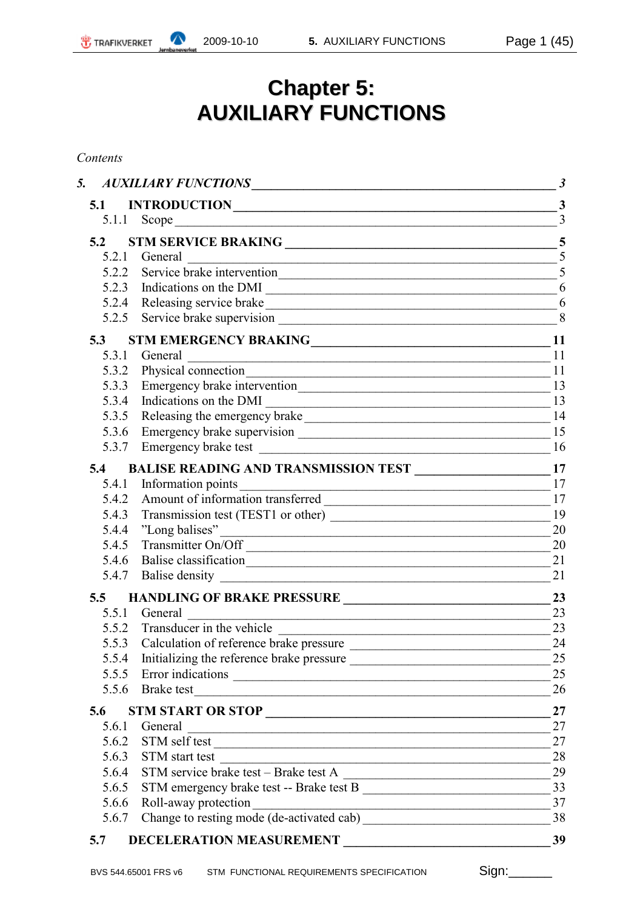# **Chapter 5: AUXILIARY FUNCTIONS**

#### *Contents*

|       | 5. AUXILIARY FUNCTIONS                                                                                                                        | $\mathfrak{z}$ |
|-------|-----------------------------------------------------------------------------------------------------------------------------------------------|----------------|
|       | 5.1 INTRODUCTION                                                                                                                              | $\mathbf{3}$   |
| 5.1.1 |                                                                                                                                               | 3              |
| 5.2   |                                                                                                                                               |                |
| 5.2.1 | General                                                                                                                                       | 5              |
| 5.2.2 |                                                                                                                                               |                |
|       | 5.2.3 Indications on the DMI                                                                                                                  |                |
| 5.2.4 | Releasing service brake 6                                                                                                                     |                |
| 5.2.5 |                                                                                                                                               | 8              |
| 5.3   |                                                                                                                                               |                |
| 5.3.1 | General                                                                                                                                       | 11             |
| 5.3.2 |                                                                                                                                               |                |
| 5.3.3 |                                                                                                                                               | 13             |
| 5.3.4 | Indications on the DMI                                                                                                                        |                |
| 5.3.5 |                                                                                                                                               |                |
| 5.3.6 |                                                                                                                                               | 15             |
| 5.3.7 |                                                                                                                                               |                |
| 5.4   | BALISE READING AND TRANSMISSION TEST ________________________17                                                                               |                |
| 5.4.1 | Information points                                                                                                                            | 17             |
| 5.4.2 |                                                                                                                                               |                |
| 5.4.3 |                                                                                                                                               | 19             |
| 5.4.4 | "Long balises"                                                                                                                                | 20             |
| 5.4.5 |                                                                                                                                               | 20             |
|       | 5.4.6 Balise classification                                                                                                                   | 21             |
|       |                                                                                                                                               | 21             |
| 5.5   |                                                                                                                                               | 23             |
|       | 5.5.1 General                                                                                                                                 | 23             |
|       | 5.5.2 Transducer in the vehicle<br><u> 1999 - Johann John Barn, mars eta inperiodoren eta inperiodorea (h. 1989).</u>                         | 23             |
| 5.5.3 |                                                                                                                                               | 24             |
|       | 5.5.4 Initializing the reference brake pressure ________________________________                                                              | 25             |
|       | 5.5.5 Error indications                                                                                                                       | 25             |
|       | 5.5.6 Brake test<br><u> 1980 - Johann Stoff, deutscher Stoff, der Stoff, der Stoff, der Stoff, der Stoff, der Stoff, der Stoff, der S</u>     | 26             |
| 5.6   |                                                                                                                                               | 27             |
| 5.6.1 | General<br><u> 1989 - Johann Barnett, fransk politiker (d. 1989)</u>                                                                          | 27             |
|       |                                                                                                                                               | 27             |
| 5.6.3 | STM start test<br><u> 1989 - Johann John Stein, mars an deutscher Stein und der Stein und der Stein und der Stein und der Stein und</u>       | 28             |
| 5.6.4 | STM service brake test - Brake test A                                                                                                         | 29             |
| 5.6.5 | STM emergency brake test -- Brake test B                                                                                                      | 33             |
| 5.6.6 | Roll-away protection<br><u> 1989 - Johann John Stein, marwolaeth a bhannaich an t-Amhair an t-Amhair an t-Amhair an t-Amhair an t-Amhair </u> | 37             |
| 5.6.7 | Change to resting mode (de-activated cab)                                                                                                     | 38             |
| 5.7   | <b>DECELERATION MEASUREMENT</b>                                                                                                               | 39             |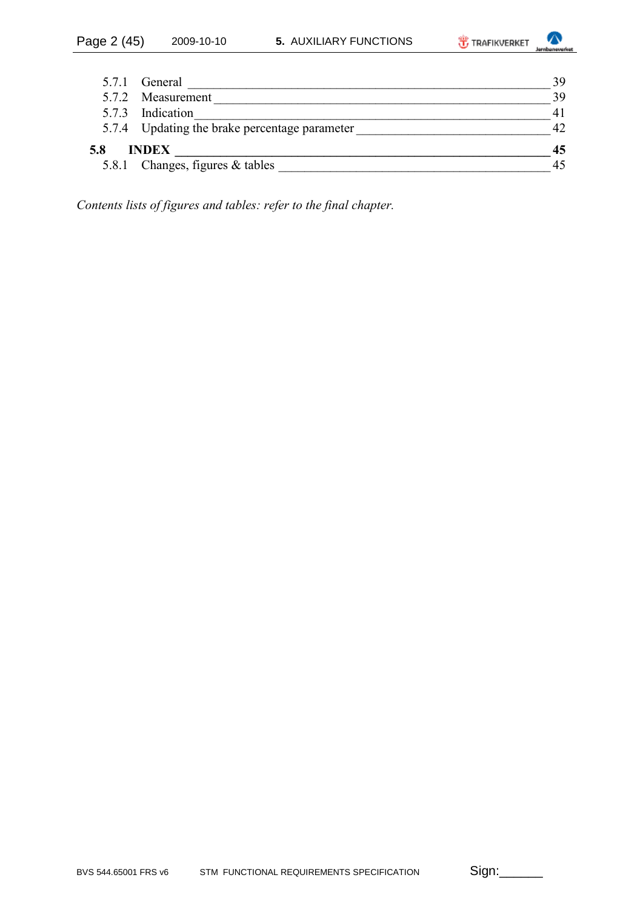**TRAFIKVERKET** 

Ø

|     | 5.7.1 General                                 | 39 |
|-----|-----------------------------------------------|----|
|     | 5.7.2 Measurement                             | 39 |
|     | 5.7.3 Indication                              | 41 |
|     | 5.7.4 Updating the brake percentage parameter | 42 |
| 5.8 | <b>INDEX</b>                                  | 45 |
|     | 5.8.1 Changes, figures & tables               | 45 |

*Contents lists of figures and tables: refer to the final chapter.*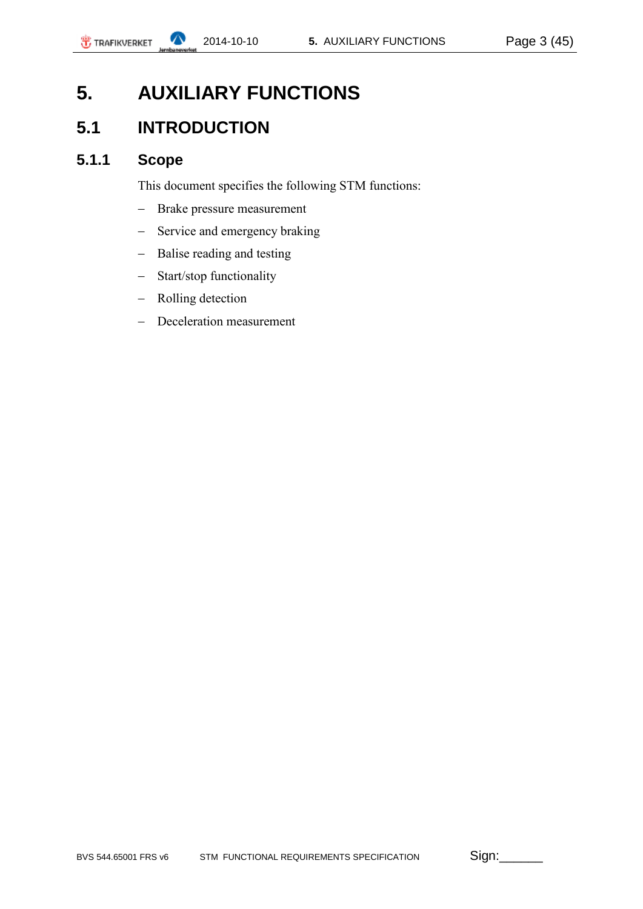# <span id="page-2-0"></span>**5. AUXILIARY FUNCTIONS**

# <span id="page-2-1"></span>**5.1 INTRODUCTION**

W

## <span id="page-2-2"></span>**5.1.1 Scope**

This document specifies the following STM functions:

- Brake pressure measurement
- Service and emergency braking
- Balise reading and testing
- Start/stop functionality
- Rolling detection
- Deceleration measurement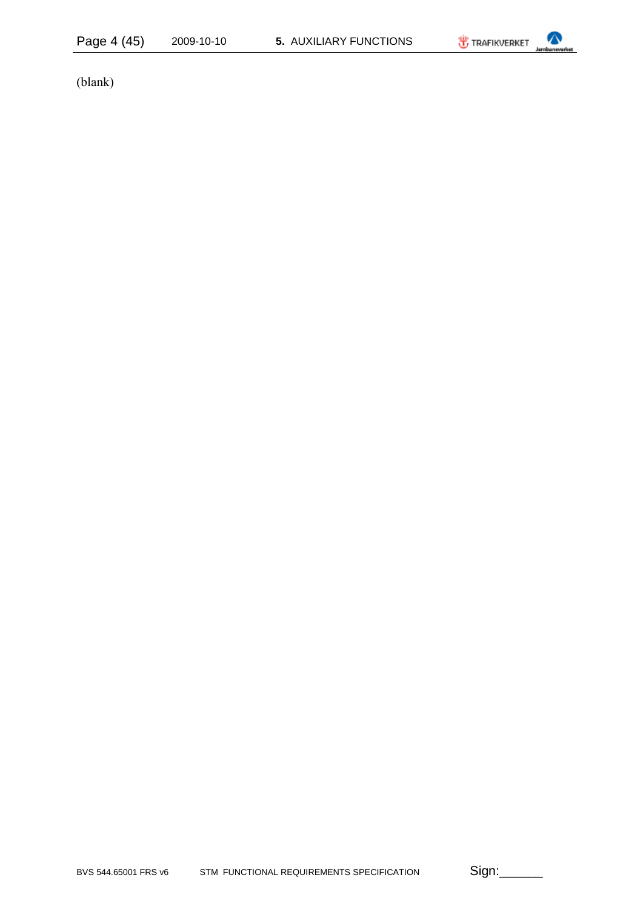$\boldsymbol{\sigma}$ 

(blank)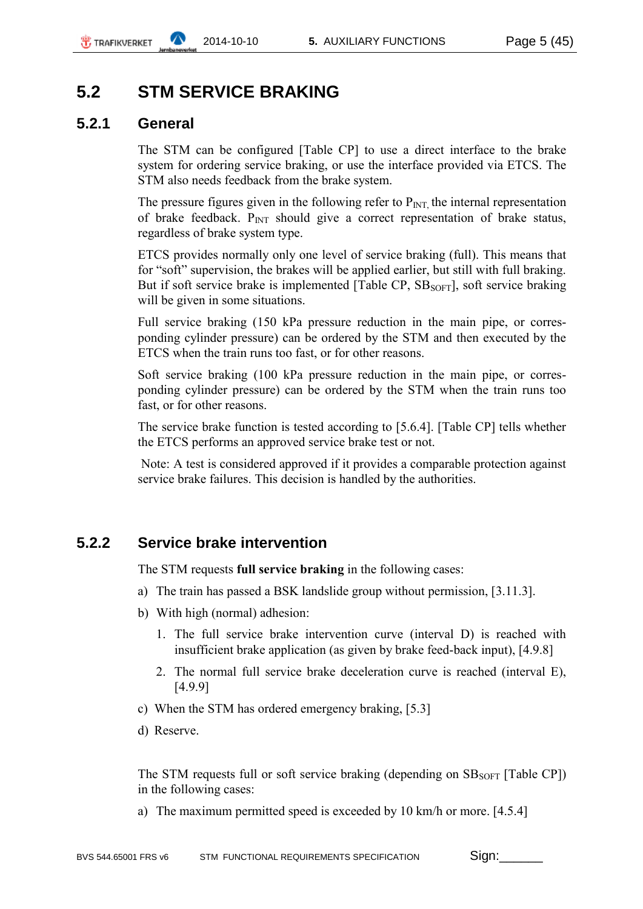## <span id="page-4-0"></span>**5.2 STM SERVICE BRAKING**

## <span id="page-4-1"></span>**5.2.1 General**

The STM can be configured [Table CP] to use a direct interface to the brake system for ordering service braking, or use the interface provided via ETCS. The STM also needs feedback from the brake system.

The pressure figures given in the following refer to  $P_{\text{INT}}$ , the internal representation of brake feedback.  $P_{INT}$  should give a correct representation of brake status, regardless of brake system type.

ETCS provides normally only one level of service braking (full). This means that for "soft" supervision, the brakes will be applied earlier, but still with full braking. But if soft service brake is implemented [Table CP,  $SB<sub>SOFF</sub>$ ], soft service braking will be given in some situations.

Full service braking (150 kPa pressure reduction in the main pipe, or corresponding cylinder pressure) can be ordered by the STM and then executed by the ETCS when the train runs too fast, or for other reasons.

Soft service braking (100 kPa pressure reduction in the main pipe, or corresponding cylinder pressure) can be ordered by the STM when the train runs too fast, or for other reasons.

The service brake function is tested according to [5.6.4]. [Table CP] tells whether the ETCS performs an approved service brake test or not.

Note: A test is considered approved if it provides a comparable protection against service brake failures. This decision is handled by the authorities.

## <span id="page-4-2"></span>**5.2.2 Service brake intervention**

The STM requests **full service braking** in the following cases:

- a) The train has passed a BSK landslide group without permission, [3.11.3].
- b) With high (normal) adhesion:
	- 1. The full service brake intervention curve (interval D) is reached with insufficient brake application (as given by brake feed-back input), [4.9.8]
	- 2. The normal full service brake deceleration curve is reached (interval E), [4.9.9]
- c) When the STM has ordered emergency braking, [5.3]
- d) Reserve.

The STM requests full or soft service braking (depending on  $SB<sub>SOFF</sub>$  [Table CP]) in the following cases:

a) The maximum permitted speed is exceeded by 10 km/h or more. [4.5.4]

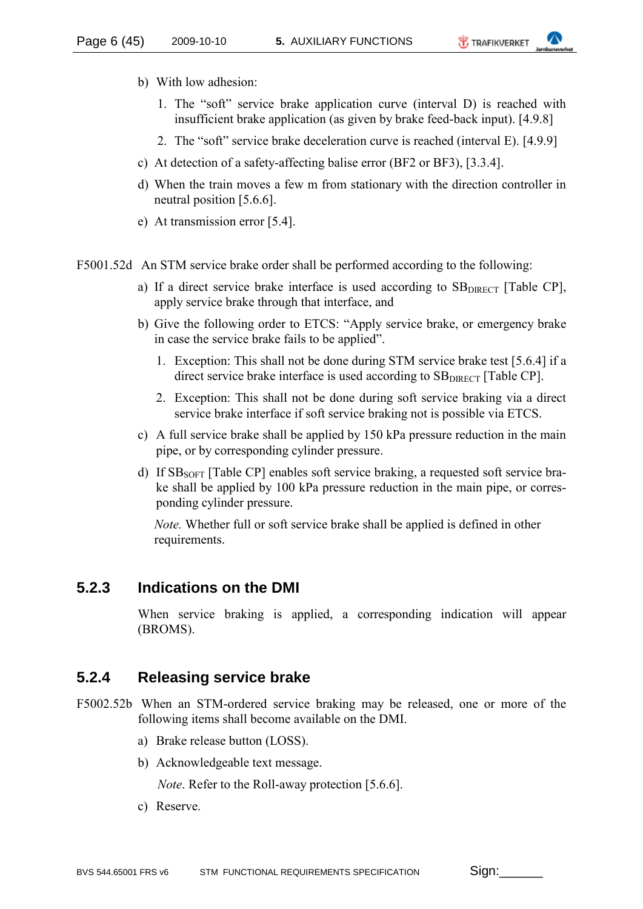∽

- b) With low adhesion:
	- 1. The "soft" service brake application curve (interval D) is reached with insufficient brake application (as given by brake feed-back input). [4.9.8]
	- 2. The "soft" service brake deceleration curve is reached (interval E). [4.9.9]
- c) At detection of a safety-affecting balise error (BF2 or BF3), [3.3.4].
- d) When the train moves a few m from stationary with the direction controller in neutral position [5.6.6].
- e) At transmission error [5.4].
- F5001.52d An STM service brake order shall be performed according to the following:
	- a) If a direct service brake interface is used according to  $SB<sub>DIRECT</sub>$  [Table CP], apply service brake through that interface, and
	- b) Give the following order to ETCS: "Apply service brake, or emergency brake in case the service brake fails to be applied".
		- 1. Exception: This shall not be done during STM service brake test [5.6.4] if a direct service brake interface is used according to  $SB<sub>DIRECT</sub>$  [Table CP].
		- 2. Exception: This shall not be done during soft service braking via a direct service brake interface if soft service braking not is possible via ETCS.
	- c) A full service brake shall be applied by 150 kPa pressure reduction in the main pipe, or by corresponding cylinder pressure.
	- d) If  $SB<sub>SOFF</sub>$  [Table CP] enables soft service braking, a requested soft service brake shall be applied by 100 kPa pressure reduction in the main pipe, or corresponding cylinder pressure.

*Note.* Whether full or soft service brake shall be applied is defined in other requirements.

## <span id="page-5-0"></span>**5.2.3 Indications on the DMI**

When service braking is applied, a corresponding indication will appear (BROMS).

## <span id="page-5-1"></span>**5.2.4 Releasing service brake**

- F5002.52b When an STM-ordered service braking may be released, one or more of the following items shall become available on the DMI.
	- a) Brake release button (LOSS).
	- b) Acknowledgeable text message.

*Note*. Refer to the Roll-away protection [5.6.6].

c) Reserve.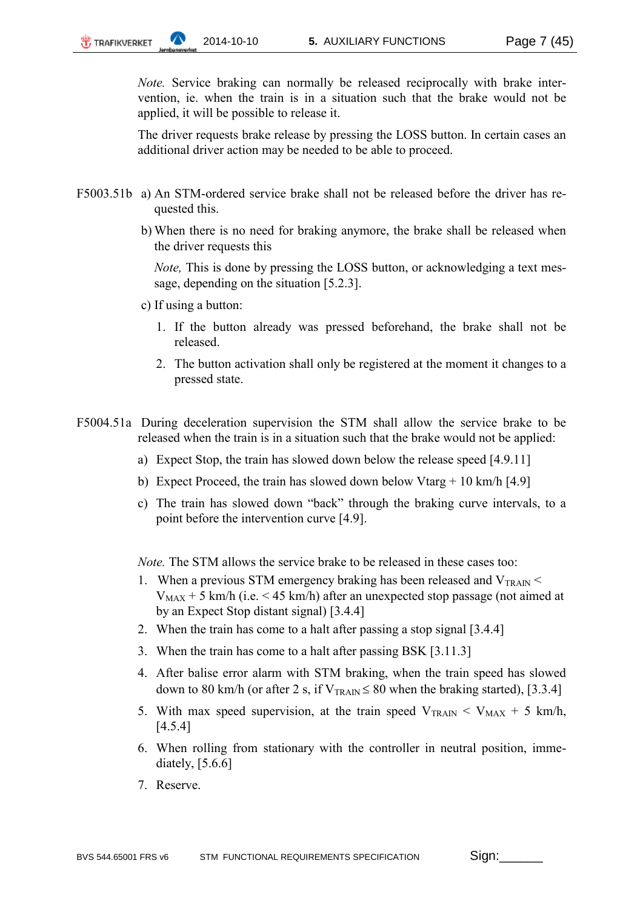*Note.* Service braking can normally be released reciprocally with brake intervention, ie. when the train is in a situation such that the brake would not be applied, it will be possible to release it.

The driver requests brake release by pressing the LOSS button. In certain cases an additional driver action may be needed to be able to proceed.

- F5003.51b a) An STM-ordered service brake shall not be released before the driver has requested this.
	- b) When there is no need for braking anymore, the brake shall be released when the driver requests this

*Note*, This is done by pressing the LOSS button, or acknowledging a text message, depending on the situation [5.2.3].

- c) If using a button:
	- 1. If the button already was pressed beforehand, the brake shall not be released.
	- 2. The button activation shall only be registered at the moment it changes to a pressed state.
- F5004.51a During deceleration supervision the STM shall allow the service brake to be released when the train is in a situation such that the brake would not be applied:
	- a) Expect Stop, the train has slowed down below the release speed [4.9.11]
	- b) Expect Proceed, the train has slowed down below Vtarg + 10 km/h [4.9]
	- c) The train has slowed down "back" through the braking curve intervals, to a point before the intervention curve [4.9].

*Note.* The STM allows the service brake to be released in these cases too:

- 1. When a previous STM emergency braking has been released and  $V_{TRAIN}$  <  $V_{MAX}$  + 5 km/h (i.e. < 45 km/h) after an unexpected stop passage (not aimed at by an Expect Stop distant signal) [3.4.4]
- 2. When the train has come to a halt after passing a stop signal [3.4.4]
- 3. When the train has come to a halt after passing BSK [3.11.3]
- 4. After balise error alarm with STM braking, when the train speed has slowed down to 80 km/h (or after 2 s, if  $V_{\text{TRAIN}} \leq 80$  when the braking started), [3.3.4]
- 5. With max speed supervision, at the train speed  $V_{\text{TRAIN}} < V_{\text{MAX}} + 5$  km/h, [4.5.4]
- 6. When rolling from stationary with the controller in neutral position, immediately, [5.6.6]
- 7. Reserve.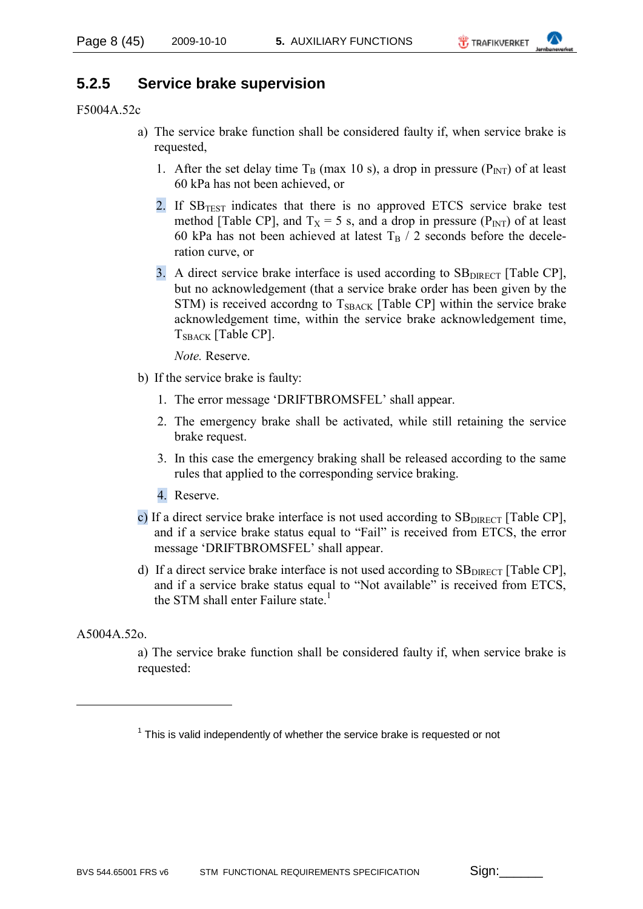## <span id="page-7-0"></span>**5.2.5 Service brake supervision**

F5004A.52c

- a) The service brake function shall be considered faulty if, when service brake is requested,
	- 1. After the set delay time  $T_B$  (max 10 s), a drop in pressure ( $P_{INT}$ ) of at least 60 kPa has not been achieved, or
	- 2. If  $SB$ <sub>TEST</sub> indicates that there is no approved ETCS service brake test method [Table CP], and  $T_x = 5$  s, and a drop in pressure (P<sub>NT</sub>) of at least 60 kPa has not been achieved at latest  $T_B / 2$  seconds before the deceleration curve, or
	- 3. A direct service brake interface is used according to  $SB_{DIRECT}$  [Table CP], but no acknowledgement (that a service brake order has been given by the STM) is received accordng to  $T_{SBACK}$  [Table CP] within the service brake acknowledgement time, within the service brake acknowledgement time,  $T_{\text{SBACK}}$  [Table CP].

*Note.* Reserve.

- b) If the service brake is faulty:
	- 1. The error message 'DRIFTBROMSFEL' shall appear.
	- 2. The emergency brake shall be activated, while still retaining the service brake request.
	- 3. In this case the emergency braking shall be released according to the same rules that applied to the corresponding service braking.
	- 4. Reserve.
- c) If a direct service brake interface is not used according to  $SB<sub>DIRECT</sub>$  [Table CP], and if a service brake status equal to "Fail" is received from ETCS, the error message 'DRIFTBROMSFEL' shall appear.
- d) If a direct service brake interface is not used according to  $SB<sub>DIRECT</sub>$  [Table CP], and if a service brake status equal to "Not available" is received from ETCS, the STM shall enter Failure state.<sup>1</sup>

A5004A.52o.

a) The service brake function shall be considered faulty if, when service brake is requested:

 $1$  This is valid independently of whether the service brake is requested or not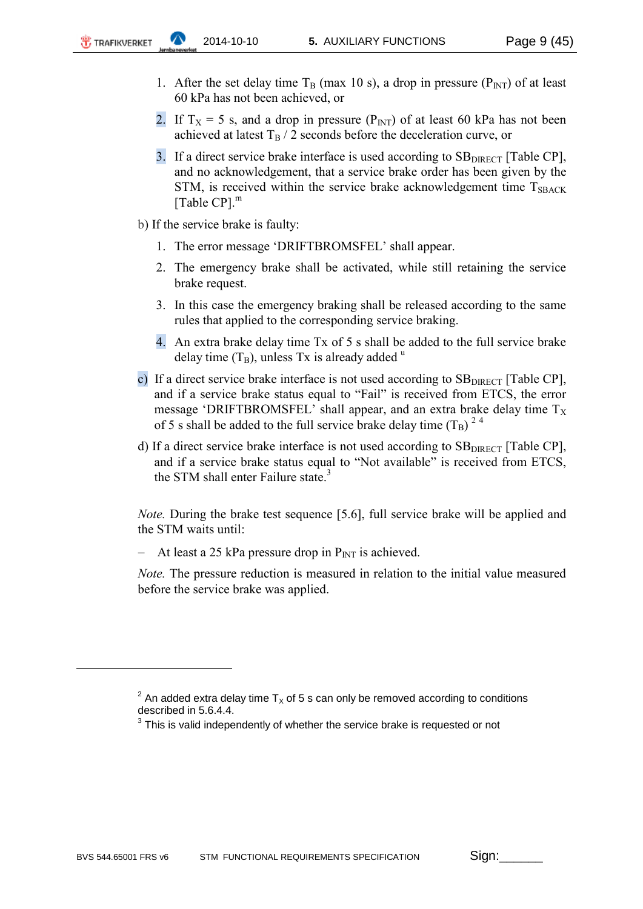**TE** TRAFIKVERKET

 $\overline{a}$ 

- 1. After the set delay time  $T_B$  (max 10 s), a drop in pressure ( $P_{INT}$ ) of at least 60 kPa has not been achieved, or
- 2. If  $T_X = 5$  s, and a drop in pressure (P<sub>INT</sub>) of at least 60 kPa has not been achieved at latest  $T_B$  / 2 seconds before the deceleration curve, or
- 3. If a direct service brake interface is used according to  $SB<sub>DIRECT</sub>$  [Table CP], and no acknowledgement, that a service brake order has been given by the  $STM$ , is received within the service brake acknowledgement time  $T_{SBACK}$ [Table CP]. $^{\rm m}$
- b) If the service brake is faulty:
	- 1. The error message 'DRIFTBROMSFEL' shall appear.
	- 2. The emergency brake shall be activated, while still retaining the service brake request.
	- 3. In this case the emergency braking shall be released according to the same rules that applied to the corresponding service braking.
	- 4. An extra brake delay time Tx of 5 s shall be added to the full service brake delay time  $(T_B)$ , unless Tx is already added  $^u$
- c) If a direct service brake interface is not used according to  $SB<sub>DIRECT</sub>$  [Table CP], and if a service brake status equal to "Fail" is received from ETCS, the error message 'DRIFTBROMSFEL' shall appear, and an extra brake delay time  $T_x$ of 5 s shall be added to the full service brake delay time  $(T_B)^{24}$
- d) If a direct service brake interface is not used according to  $SB<sub>DIRECT</sub>$  [Table CP], and if a service brake status equal to "Not available" is received from ETCS, the STM shall enter Failure state.<sup>3</sup>

*Note.* During the brake test sequence [5.6], full service brake will be applied and the STM waits until:

- At least a 25 kPa pressure drop in  $P_{INT}$  is achieved.

*Note.* The pressure reduction is measured in relation to the initial value measured before the service brake was applied.

<sup>&</sup>lt;sup>2</sup> An added extra delay time T<sub>x</sub> of 5 s can only be removed according to conditions described in 5.6.4.4.

 $3$  This is valid independently of whether the service brake is requested or not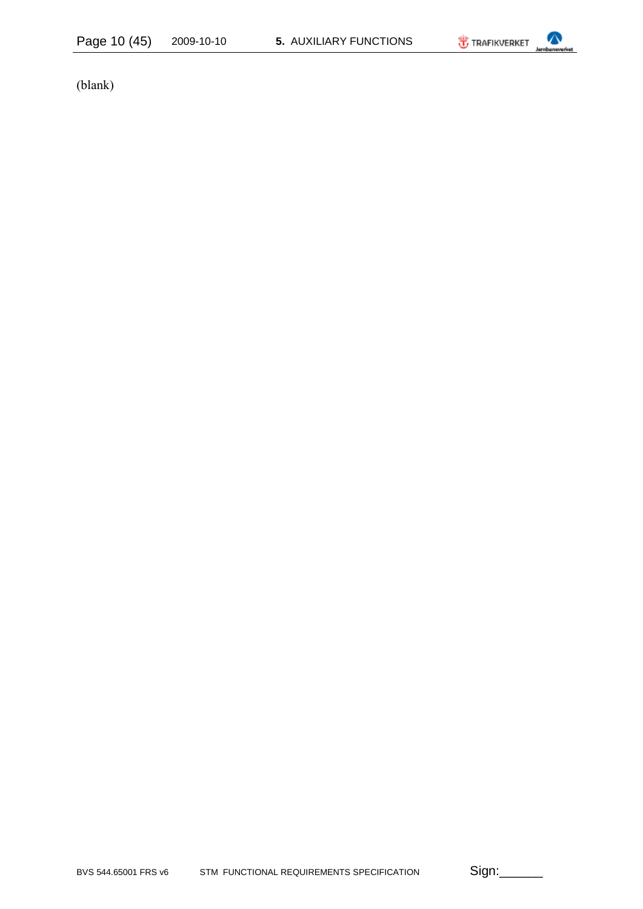$\bf \Phi$ 

(blank)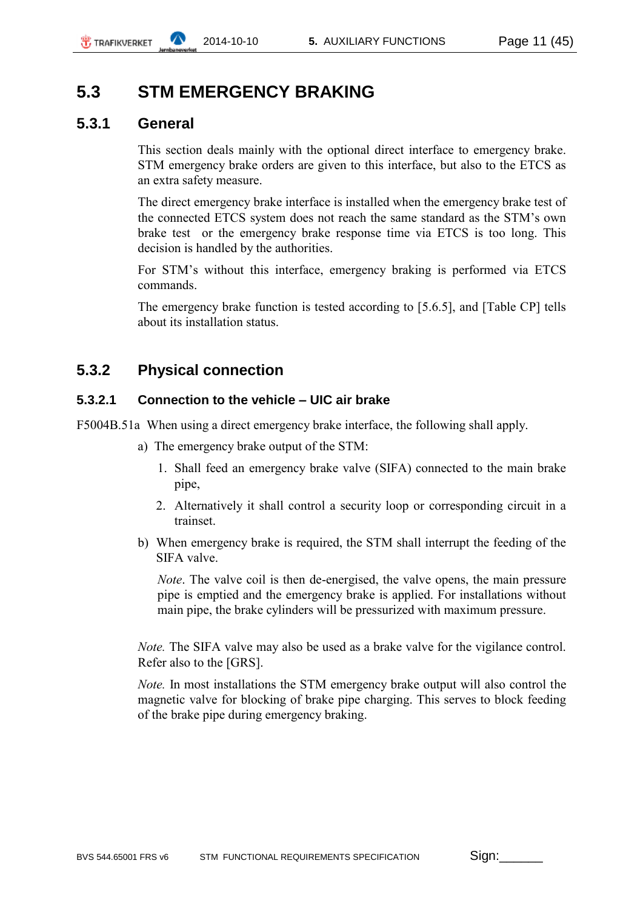## <span id="page-10-0"></span>**5.3 STM EMERGENCY BRAKING**

## <span id="page-10-1"></span>**5.3.1 General**

This section deals mainly with the optional direct interface to emergency brake. STM emergency brake orders are given to this interface, but also to the ETCS as an extra safety measure.

The direct emergency brake interface is installed when the emergency brake test of the connected ETCS system does not reach the same standard as the STM's own brake test or the emergency brake response time via ETCS is too long. This decision is handled by the authorities.

For STM's without this interface, emergency braking is performed via ETCS commands.

The emergency brake function is tested according to [5.6.5], and [Table CP] tells about its installation status.

## <span id="page-10-2"></span>**5.3.2 Physical connection**

#### **5.3.2.1 Connection to the vehicle – UIC air brake**

F5004B.51a When using a direct emergency brake interface, the following shall apply.

- a) The emergency brake output of the STM:
	- 1. Shall feed an emergency brake valve (SIFA) connected to the main brake pipe,
	- 2. Alternatively it shall control a security loop or corresponding circuit in a trainset.
- b) When emergency brake is required, the STM shall interrupt the feeding of the SIFA valve.

*Note*. The valve coil is then de-energised, the valve opens, the main pressure pipe is emptied and the emergency brake is applied. For installations without main pipe, the brake cylinders will be pressurized with maximum pressure.

*Note.* The SIFA valve may also be used as a brake valve for the vigilance control. Refer also to the [GRS].

*Note.* In most installations the STM emergency brake output will also control the magnetic valve for blocking of brake pipe charging. This serves to block feeding of the brake pipe during emergency braking.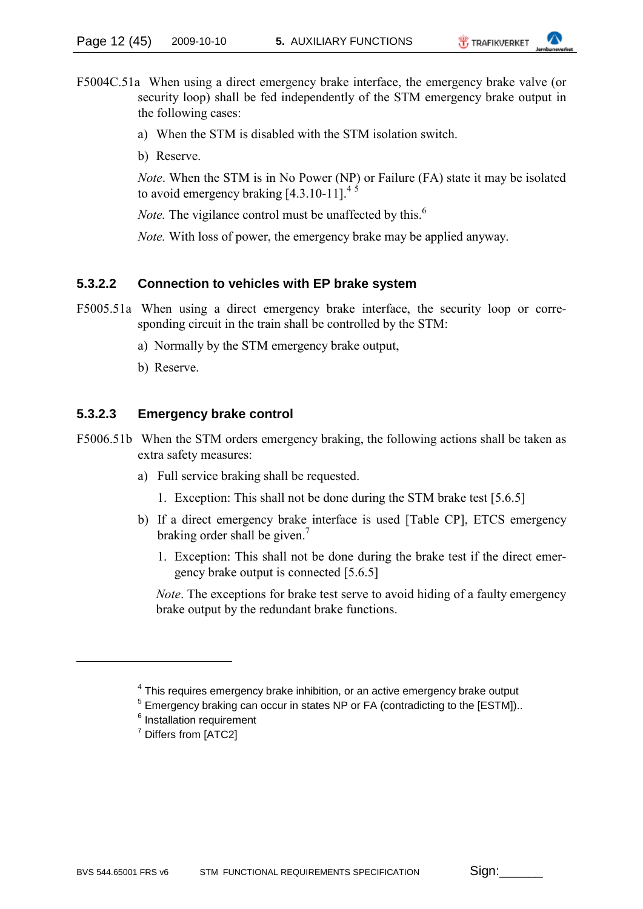- F5004C.51a When using a direct emergency brake interface, the emergency brake valve (or security loop) shall be fed independently of the STM emergency brake output in the following cases:
	- a) When the STM is disabled with the STM isolation switch.
	- b) Reserve.

*Note*. When the STM is in No Power (NP) or Failure (FA) state it may be isolated to avoid emergency braking  $[4.3.10-11]^{4.5}$ 

*Note.* The vigilance control must be unaffected by this.<sup>6</sup>

*Note.* With loss of power, the emergency brake may be applied anyway.

#### **5.3.2.2 Connection to vehicles with EP brake system**

- F5005.51a When using a direct emergency brake interface, the security loop or corresponding circuit in the train shall be controlled by the STM:
	- a) Normally by the STM emergency brake output,
	- b) Reserve.

#### **5.3.2.3 Emergency brake control**

- F5006.51b When the STM orders emergency braking, the following actions shall be taken as extra safety measures:
	- a) Full service braking shall be requested.
		- 1. Exception: This shall not be done during the STM brake test [5.6.5]
	- b) If a direct emergency brake interface is used [Table CP], ETCS emergency braking order shall be given.<sup>7</sup>
		- 1. Exception: This shall not be done during the brake test if the direct emergency brake output is connected [5.6.5]

*Note*. The exceptions for brake test serve to avoid hiding of a faulty emergency brake output by the redundant brake functions.

 $\overline{a}$ 

<sup>&</sup>lt;sup>4</sup> This requires emergency brake inhibition, or an active emergency brake output

 $5$  Emergency braking can occur in states NP or FA (contradicting to the [ESTM])..

<sup>&</sup>lt;sup>6</sup> Installation requirement

 $<sup>7</sup>$  Differs from [ATC2]</sup>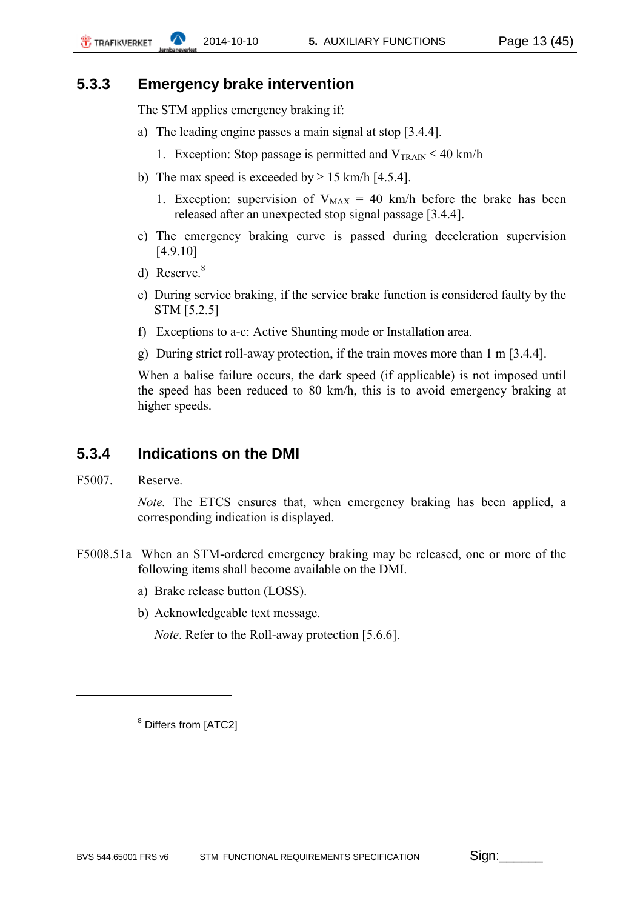## <span id="page-12-0"></span>**5.3.3 Emergency brake intervention**

The STM applies emergency braking if:

- a) The leading engine passes a main signal at stop [3.4.4].
	- 1. Exception: Stop passage is permitted and  $V_{\text{TRAN}} \leq 40 \text{ km/h}$
- b) The max speed is exceeded by  $\geq 15$  km/h [4.5.4].
	- 1. Exception: supervision of  $V_{MAX} = 40$  km/h before the brake has been released after an unexpected stop signal passage [3.4.4].
- c) The emergency braking curve is passed during deceleration supervision [4.9.10]
- d) Reserve.<sup>8</sup>
- e) During service braking, if the service brake function is considered faulty by the STM [5.2.5]
- f) Exceptions to a-c: Active Shunting mode or Installation area.
- g) During strict roll-away protection, if the train moves more than 1 m [3.4.4].

When a balise failure occurs, the dark speed (if applicable) is not imposed until the speed has been reduced to 80 km/h, this is to avoid emergency braking at higher speeds.

#### <span id="page-12-1"></span>**5.3.4 Indications on the DMI**

F5007. Reserve.

 $\overline{a}$ 

*Note.* The ETCS ensures that, when emergency braking has been applied, a corresponding indication is displayed.

- F5008.51a When an STM-ordered emergency braking may be released, one or more of the following items shall become available on the DMI.
	- a) Brake release button (LOSS).
	- b) Acknowledgeable text message.

*Note*. Refer to the Roll-away protection [5.6.6].

<sup>8</sup> Differs from [ATC2]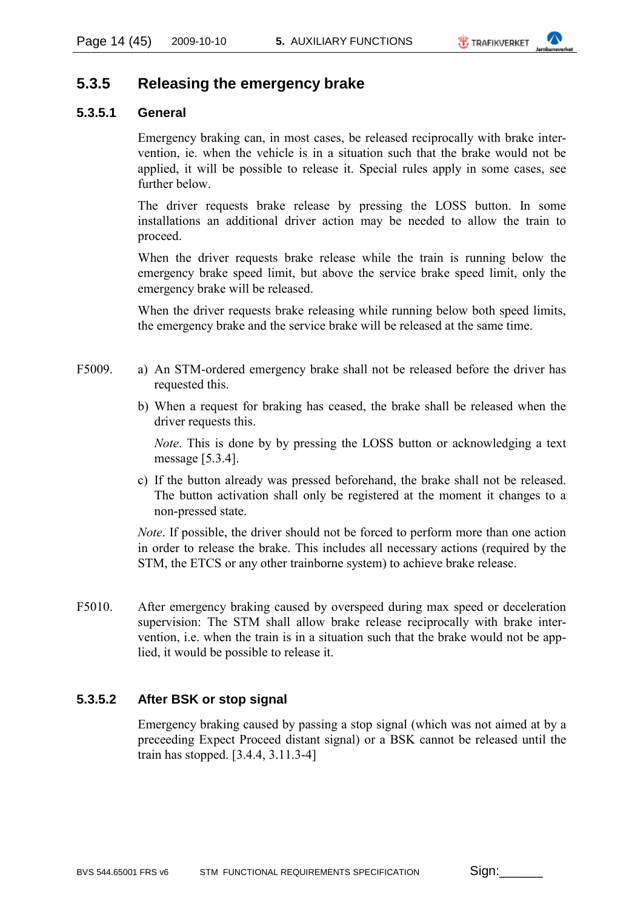## <span id="page-13-0"></span>**5.3.5 Releasing the emergency brake**

#### **5.3.5.1 General**

Emergency braking can, in most cases, be released reciprocally with brake intervention, ie. when the vehicle is in a situation such that the brake would not be applied, it will be possible to release it. Special rules apply in some cases, see further below.

The driver requests brake release by pressing the LOSS button. In some installations an additional driver action may be needed to allow the train to proceed.

When the driver requests brake release while the train is running below the emergency brake speed limit, but above the service brake speed limit, only the emergency brake will be released.

When the driver requests brake releasing while running below both speed limits, the emergency brake and the service brake will be released at the same time.

- F5009. a) An STM-ordered emergency brake shall not be released before the driver has requested this.
	- b) When a request for braking has ceased, the brake shall be released when the driver requests this.

*Note*. This is done by by pressing the LOSS button or acknowledging a text message [5.3.4].

c) If the button already was pressed beforehand, the brake shall not be released. The button activation shall only be registered at the moment it changes to a non-pressed state.

*Note*. If possible, the driver should not be forced to perform more than one action in order to release the brake. This includes all necessary actions (required by the STM, the ETCS or any other trainborne system) to achieve brake release.

F5010. After emergency braking caused by overspeed during max speed or deceleration supervision: The STM shall allow brake release reciprocally with brake intervention, i.e. when the train is in a situation such that the brake would not be applied, it would be possible to release it.

#### **5.3.5.2 After BSK or stop signal**

Emergency braking caused by passing a stop signal (which was not aimed at by a preceeding Expect Proceed distant signal) or a BSK cannot be released until the train has stopped. [3.4.4, 3.11.3-4]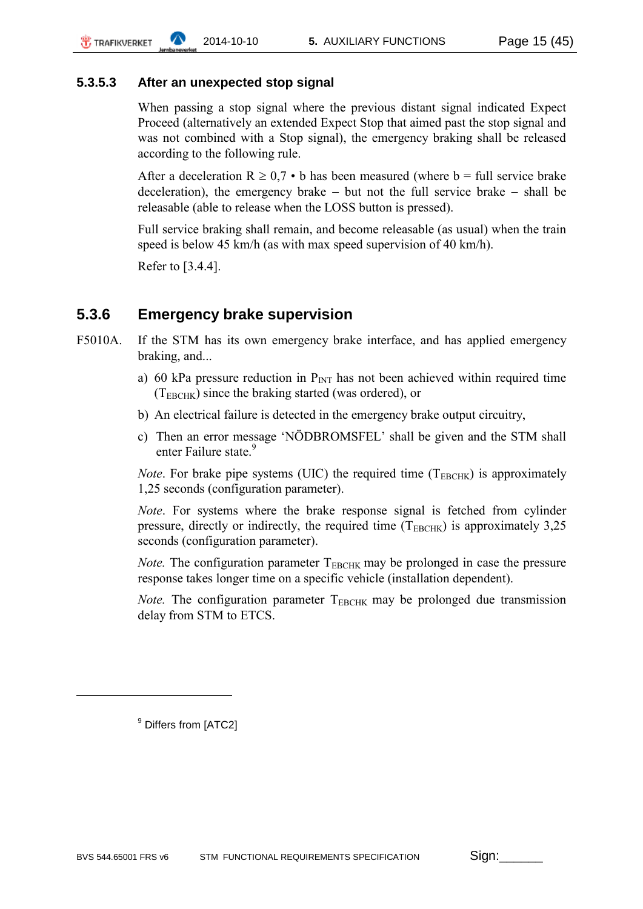#### **5.3.5.3 After an unexpected stop signal**

When passing a stop signal where the previous distant signal indicated Expect Proceed (alternatively an extended Expect Stop that aimed past the stop signal and was not combined with a Stop signal), the emergency braking shall be released according to the following rule.

After a deceleration  $R \geq 0.7 \cdot b$  has been measured (where  $b = full$  service brake deceleration), the emergency brake  $-$  but not the full service brake  $-$  shall be releasable (able to release when the LOSS button is pressed).

Full service braking shall remain, and become releasable (as usual) when the train speed is below 45 km/h (as with max speed supervision of 40 km/h).

Refer to [3.4.4].

## <span id="page-14-0"></span>**5.3.6 Emergency brake supervision**

- F5010A. If the STM has its own emergency brake interface, and has applied emergency braking, and...
	- a) 60 kPa pressure reduction in  $P_{INT}$  has not been achieved within required time  $(T_{EBCHK})$  since the braking started (was ordered), or
	- b) An electrical failure is detected in the emergency brake output circuitry,
	- c) Then an error message 'NÖDBROMSFEL' shall be given and the STM shall enter Failure state.<sup>9</sup>

*Note*. For brake pipe systems (UIC) the required time  $(T_{EBCHK})$  is approximately 1,25 seconds (configuration parameter).

*Note*. For systems where the brake response signal is fetched from cylinder pressure, directly or indirectly, the required time  $(T_{EBCHK})$  is approximately 3,25 seconds (configuration parameter).

*Note.* The configuration parameter  $T_{EBCHK}$  may be prolonged in case the pressure response takes longer time on a specific vehicle (installation dependent).

*Note.* The configuration parameter  $T_{EBCHK}$  may be prolonged due transmission delay from STM to ETCS.

 $\overline{a}$ 

<sup>&</sup>lt;sup>9</sup> Differs from [ATC2]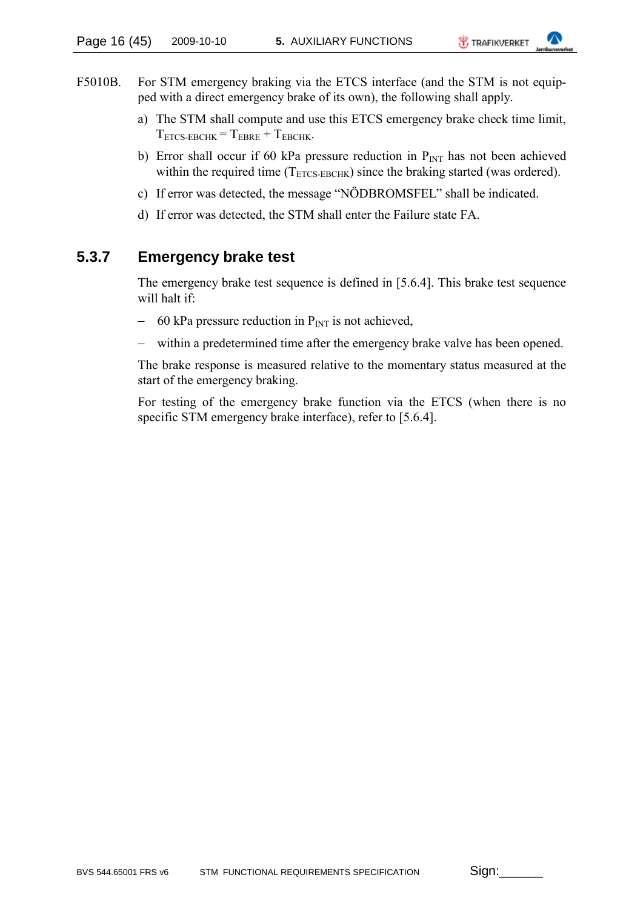∽

- F5010B. For STM emergency braking via the ETCS interface (and the STM is not equipped with a direct emergency brake of its own), the following shall apply.
	- a) The STM shall compute and use this ETCS emergency brake check time limit,  $T_{ETCS-EBCHK} = T_{EBRE} + T_{EBCHK}.$
	- b) Error shall occur if 60 kPa pressure reduction in  $P_{INT}$  has not been achieved within the required time ( $T_{ETCS-EBCHK}$ ) since the braking started (was ordered).
	- c) If error was detected, the message "NÖDBROMSFEL" shall be indicated.
	- d) If error was detected, the STM shall enter the Failure state FA.

### <span id="page-15-0"></span>**5.3.7 Emergency brake test**

The emergency brake test sequence is defined in [5.6.4]. This brake test sequence will halt if:

- $-$  60 kPa pressure reduction in P<sub>INT</sub> is not achieved,
- within a predetermined time after the emergency brake valve has been opened.

The brake response is measured relative to the momentary status measured at the start of the emergency braking.

For testing of the emergency brake function via the ETCS (when there is no specific STM emergency brake interface), refer to [5.6.4].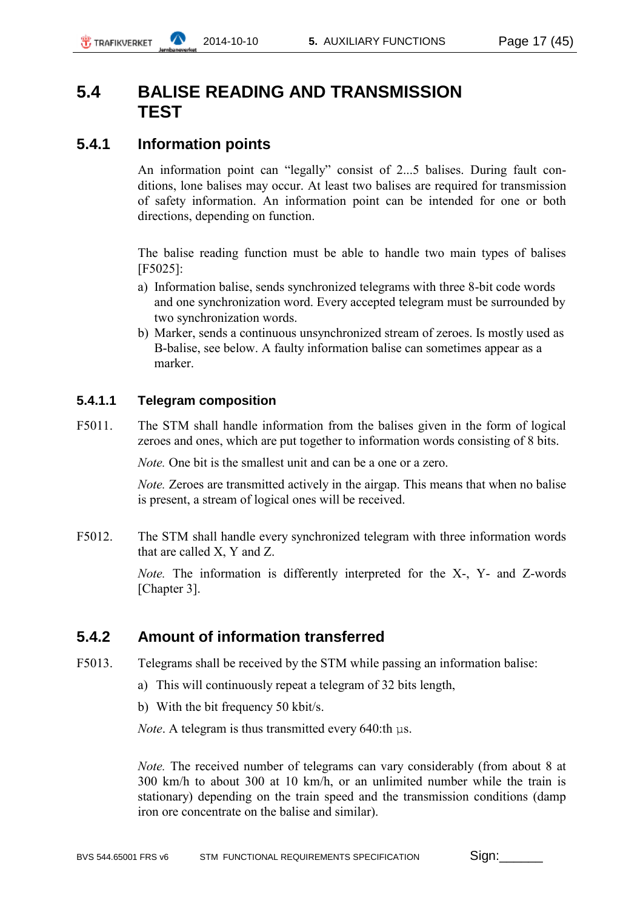## <span id="page-16-0"></span>**5.4 BALISE READING AND TRANSMISSION TEST**

## <span id="page-16-1"></span>**5.4.1 Information points**

An information point can "legally" consist of 2...5 balises. During fault conditions, lone balises may occur. At least two balises are required for transmission of safety information. An information point can be intended for one or both directions, depending on function.

The balise reading function must be able to handle two main types of balises [F5025]:

- a) Information balise, sends synchronized telegrams with three 8-bit code words and one synchronization word. Every accepted telegram must be surrounded by two synchronization words.
- b) Marker, sends a continuous unsynchronized stream of zeroes. Is mostly used as B-balise, see below. A faulty information balise can sometimes appear as a marker.

#### **5.4.1.1 Telegram composition**

F5011. The STM shall handle information from the balises given in the form of logical zeroes and ones, which are put together to information words consisting of 8 bits.

*Note.* One bit is the smallest unit and can be a one or a zero.

*Note.* Zeroes are transmitted actively in the airgap. This means that when no balise is present, a stream of logical ones will be received.

F5012. The STM shall handle every synchronized telegram with three information words that are called X, Y and Z.

> *Note.* The information is differently interpreted for the X-, Y- and Z-words [Chapter 3].

## <span id="page-16-2"></span>**5.4.2 Amount of information transferred**

- F5013. Telegrams shall be received by the STM while passing an information balise:
	- a) This will continuously repeat a telegram of 32 bits length,
	- b) With the bit frequency 50 kbit/s.

*Note*. A telegram is thus transmitted every 640:th μs.

*Note.* The received number of telegrams can vary considerably (from about 8 at 300 km/h to about 300 at 10 km/h, or an unlimited number while the train is stationary) depending on the train speed and the transmission conditions (damp iron ore concentrate on the balise and similar).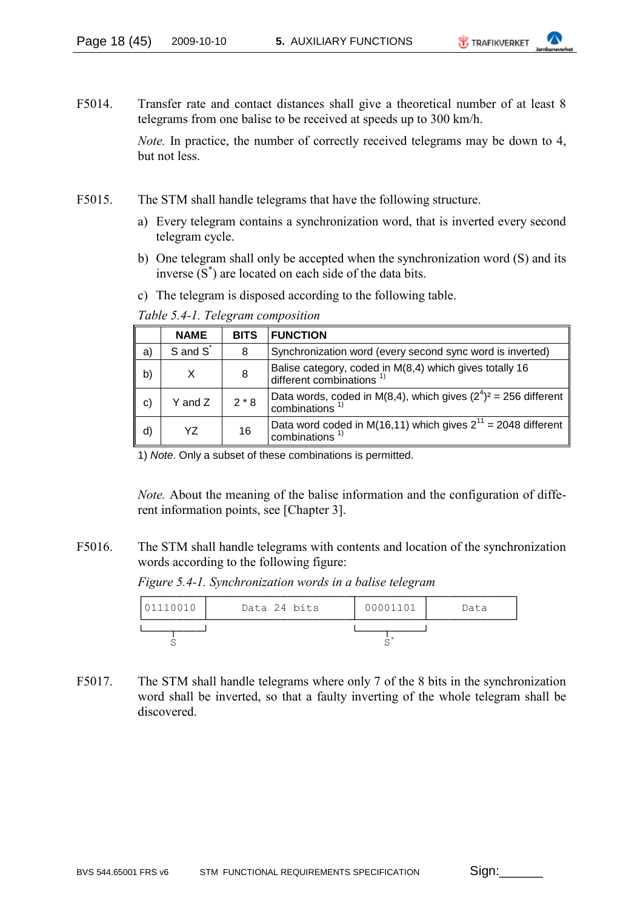**TRAFIKVERKET** 

F5014. Transfer rate and contact distances shall give a theoretical number of at least 8 telegrams from one balise to be received at speeds up to 300 km/h.

> *Note.* In practice, the number of correctly received telegrams may be down to 4, but not less.

- F5015. The STM shall handle telegrams that have the following structure.
	- a) Every telegram contains a synchronization word, that is inverted every second telegram cycle.
	- b) One telegram shall only be accepted when the synchronization word (S) and its inverse  $(S^*)$  are located on each side of the data bits.
	- c) The telegram is disposed according to the following table.

|    | <b>NAME</b>          | <b>BITS</b> | <b>FUNCTION</b>                                                                                  |
|----|----------------------|-------------|--------------------------------------------------------------------------------------------------|
| a) | S and S <sup>*</sup> | 8           | Synchronization word (every second sync word is inverted)                                        |
| b) | X                    | 8           | Balise category, coded in M(8,4) which gives totally 16<br>different combinations <sup>1)</sup>  |
| C) | Y and Z              | $2 * 8$     | Data words, coded in M(8,4), which gives $(2^4)^2$ = 256 different<br>combinations $\frac{1}{1}$ |
| d) | YZ                   | 16          | Data word coded in M(16,11) which gives $2^{11}$ = 2048 different<br>combinations <sup>1)</sup>  |

*Table 5.4-1. Telegram composition*

1) *Note*. Only a subset of these combinations is permitted.

*Note.* About the meaning of the balise information and the configuration of different information points, see [Chapter 3].

F5016. The STM shall handle telegrams with contents and location of the synchronization words according to the following figure:

*Figure 5.4-1. Synchronization words in a balise telegram*

| 101110010 | Data 24 bits | 00001101 | Data |
|-----------|--------------|----------|------|
|           |              |          |      |

F5017. The STM shall handle telegrams where only 7 of the 8 bits in the synchronization word shall be inverted, so that a faulty inverting of the whole telegram shall be discovered.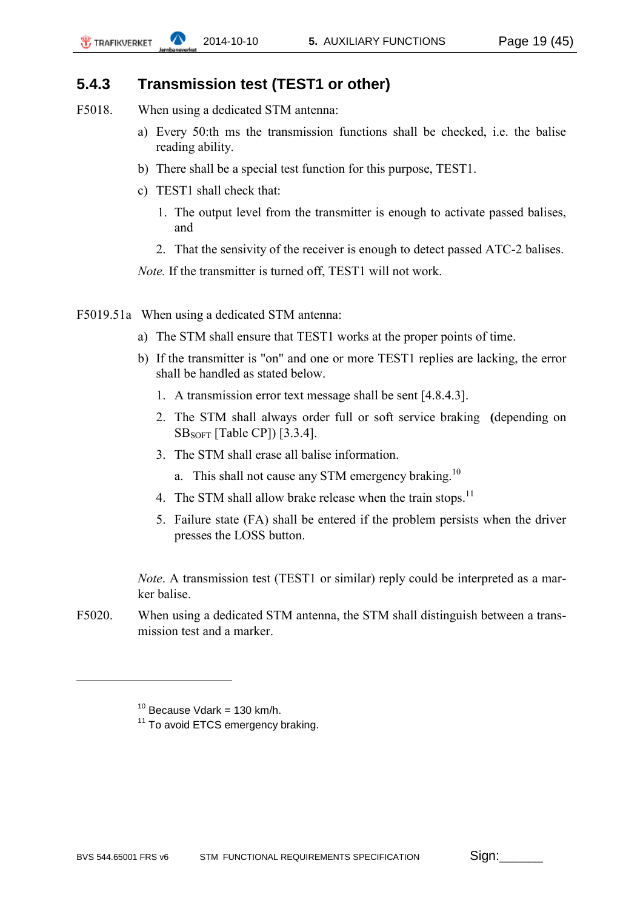## *Note.* A transmission test (TEST1 or similar) reply could be interpreted as a mar-

ker balise.

 $\overline{a}$ 

F5020. When using a dedicated STM antenna, the STM shall distinguish between a transmission test and a marker.

<span id="page-18-0"></span>**5.4.3 Transmission test (TEST1 or other)**

reading ability.

F5018. When using a dedicated STM antenna:

- b) There shall be a special test function for this purpose, TEST1.
- c) TEST1 shall check that:
	- 1. The output level from the transmitter is enough to activate passed balises, and
	- 2. That the sensivity of the receiver is enough to detect passed ATC-2 balises.

*Note.* If the transmitter is turned off, TEST1 will not work.

F5019.51a When using a dedicated STM antenna:

- a) The STM shall ensure that TEST1 works at the proper points of time.
- b) If the transmitter is "on" and one or more TEST1 replies are lacking, the error shall be handled as stated below.
	- 1. A transmission error text message shall be sent [4.8.4.3].
	- 2. The STM shall always order full or soft service braking **(**depending on  $SB<sub>SOFT</sub>$  [Table CP]) [3.3.4].
	- 3. The STM shall erase all balise information.

a. This shall not cause any STM emergency braking.<sup>10</sup>

- 4. The STM shall allow brake release when the train stops.<sup>11</sup>
- 5. Failure state (FA) shall be entered if the problem persists when the driver presses the LOSS button.

 $10$  Because Vdark = 130 km/h.

<sup>11</sup> To avoid ETCS emergency braking.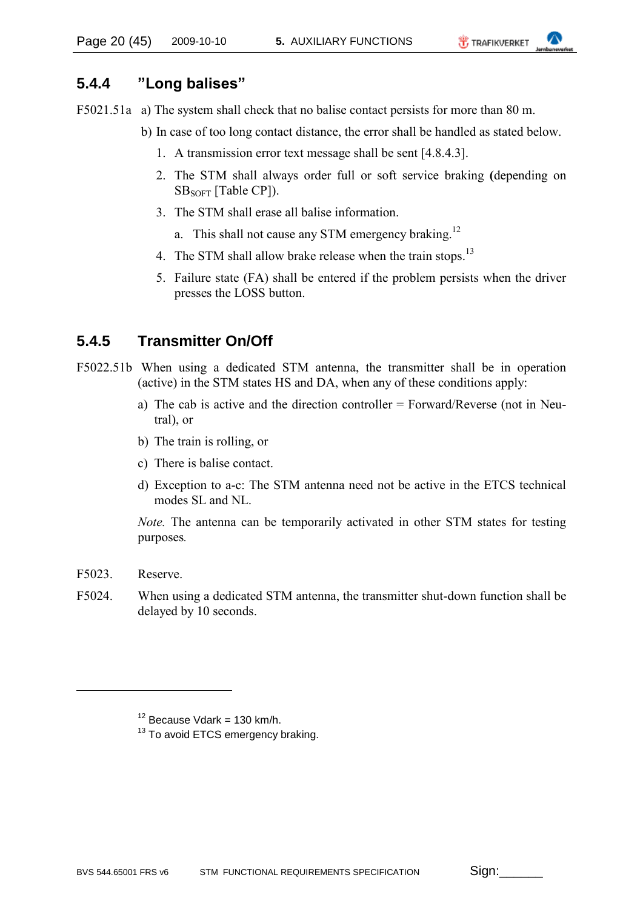╱╲

## <span id="page-19-0"></span>**5.4.4 "Long balises"**

F5021.51a a) The system shall check that no balise contact persists for more than 80 m.

b) In case of too long contact distance, the error shall be handled as stated below.

- 1. A transmission error text message shall be sent [4.8.4.3].
- 2. The STM shall always order full or soft service braking **(**depending on  $SB<sub>SOFF</sub>$  [Table CP]).
- 3. The STM shall erase all balise information.
	- a. This shall not cause any STM emergency braking.<sup>12</sup>
- 4. The STM shall allow brake release when the train stops.<sup>13</sup>
- 5. Failure state (FA) shall be entered if the problem persists when the driver presses the LOSS button.

## <span id="page-19-1"></span>**5.4.5 Transmitter On/Off**

- F5022.51b When using a dedicated STM antenna, the transmitter shall be in operation (active) in the STM states HS and DA, when any of these conditions apply:
	- a) The cab is active and the direction controller = Forward/Reverse (not in Neutral), or
	- b) The train is rolling, or
	- c) There is balise contact.
	- d) Exception to a-c: The STM antenna need not be active in the ETCS technical modes SL and NL.

*Note.* The antenna can be temporarily activated in other STM states for testing purposes*.*

F5023. Reserve.

 $\overline{a}$ 

F5024. When using a dedicated STM antenna, the transmitter shut-down function shall be delayed by 10 seconds.

 $12$  Because Vdark = 130 km/h.

<sup>&</sup>lt;sup>13</sup> To avoid ETCS emergency braking.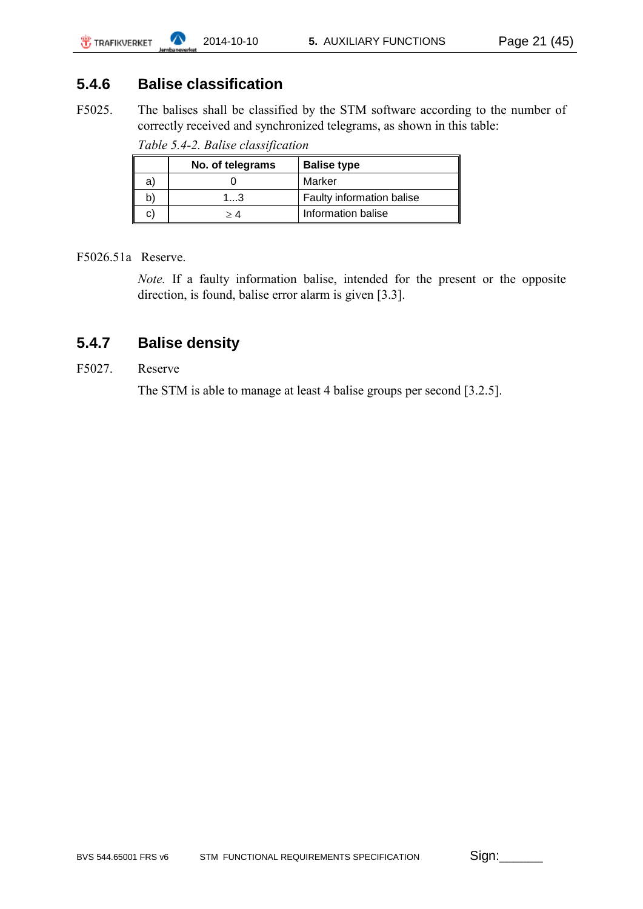## <span id="page-20-0"></span>**5.4.6 Balise classification**

F5025. The balises shall be classified by the STM software according to the number of correctly received and synchronized telegrams, as shown in this table:

*Table 5.4-2. Balise classification*

|    | No. of telegrams | <b>Balise type</b>        |
|----|------------------|---------------------------|
| a. |                  | Marker                    |
|    | 13               | Faulty information balise |
|    | > 4              | Information balise        |

F5026.51a Reserve.

*Note.* If a faulty information balise, intended for the present or the opposite direction, is found, balise error alarm is given [3.3].

## <span id="page-20-1"></span>**5.4.7 Balise density**

#### F5027. Reserve

The STM is able to manage at least 4 balise groups per second [3.2.5].

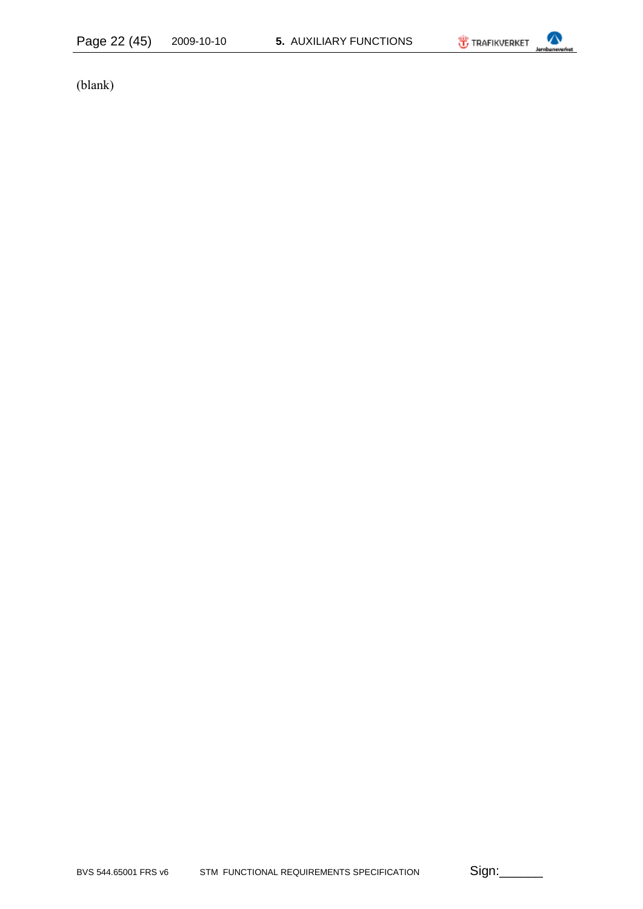$\bf \Phi$ 

(blank)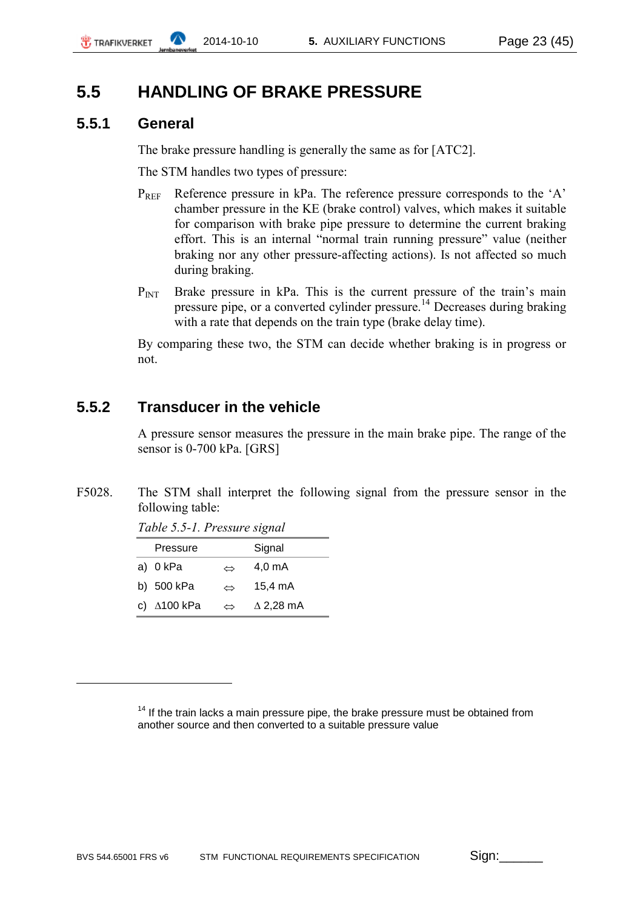$\overline{a}$ 

## <span id="page-22-0"></span>**5.5 HANDLING OF BRAKE PRESSURE**

## <span id="page-22-1"></span>**5.5.1 General**

The brake pressure handling is generally the same as for [ATC2].

The STM handles two types of pressure:

- P<sub>REF</sub> Reference pressure in kPa. The reference pressure corresponds to the 'A' chamber pressure in the KE (brake control) valves, which makes it suitable for comparison with brake pipe pressure to determine the current braking effort. This is an internal "normal train running pressure" value (neither braking nor any other pressure-affecting actions). Is not affected so much during braking.
- $P_{INT}$  Brake pressure in kPa. This is the current pressure of the train's main pressure pipe, or a converted cylinder pressure.<sup>14</sup> Decreases during braking with a rate that depends on the train type (brake delay time).

By comparing these two, the STM can decide whether braking is in progress or not.

## <span id="page-22-2"></span>**5.5.2 Transducer in the vehicle**

A pressure sensor measures the pressure in the main brake pipe. The range of the sensor is 0-700 kPa. [GRS]

F5028. The STM shall interpret the following signal from the pressure sensor in the following table:

| Tuble J.J-1. I ressure signal |              |                   |                     |
|-------------------------------|--------------|-------------------|---------------------|
|                               | Pressure     |                   | Signal              |
|                               | a) 0 kPa     | $\Leftrightarrow$ | 4,0 mA              |
|                               | b) 500 kPa   | $\Leftrightarrow$ | 15,4 mA             |
|                               | c)  ∆100 kPa | $\Rightarrow$     | $\triangle$ 2,28 mA |

*Table 5.5-1. Pressure signal*

 $14$  If the train lacks a main pressure pipe, the brake pressure must be obtained from another source and then converted to a suitable pressure value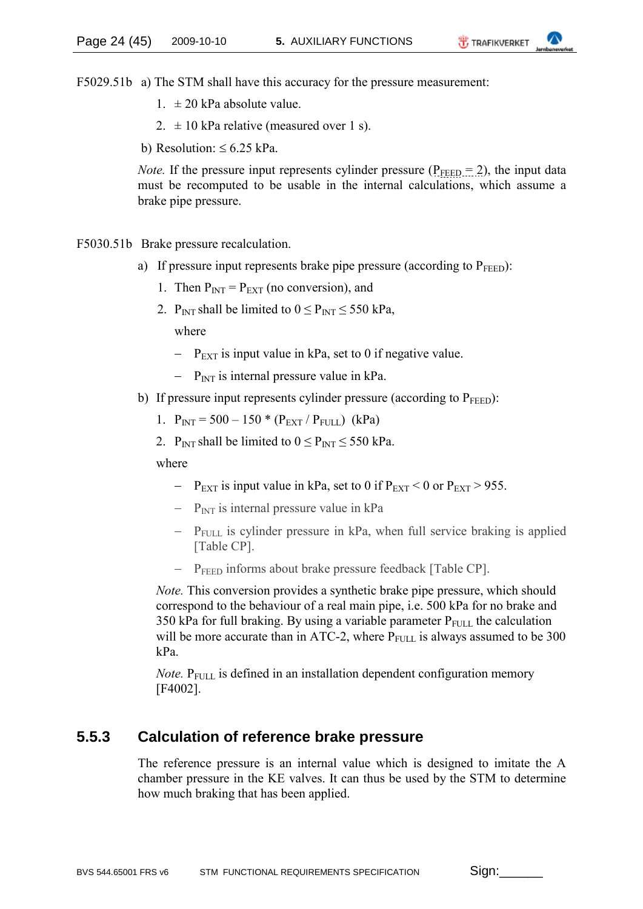F5029.51b a) The STM shall have this accuracy for the pressure measurement:

- 1.  $\pm 20$  kPa absolute value.
- 2.  $\pm$  10 kPa relative (measured over 1 s).

b) Resolution:  $\leq 6.25$  kPa.

*Note.* If the pressure input represents cylinder pressure ( $P_{\text{FEED}} = 2$ ), the input data must be recomputed to be usable in the internal calculations, which assume a brake pipe pressure.

F5030.51b Brake pressure recalculation.

- a) If pressure input represents brake pipe pressure (according to  $P_{\text{FEED}}$ ):
	- 1. Then  $P_{INT} = P_{EXT}$  (no conversion), and
	- 2. P<sub>INT</sub> shall be limited to  $0 \leq P_{INT} \leq 550$  kPa, where
		- $-P_{EXT}$  is input value in kPa, set to 0 if negative value.
		- $-P_{INT}$  is internal pressure value in kPa.
- b) If pressure input represents cylinder pressure (according to  $P_{\text{FEED}}$ ):
	- 1.  $P_{INT} = 500 150 * (P_{EXT}/P_{FULL})$  (kPa)
	- 2. P<sub>INT</sub> shall be limited to  $0 \le P_{INT} \le 550$  kPa.

where

- $P_{\text{EXT}}$  is input value in kPa, set to 0 if  $P_{\text{EXT}}$  < 0 or  $P_{\text{EXT}}$  > 955.
- $-P_{\text{INT}}$  is internal pressure value in kPa
- $-P_{FULL}$  is cylinder pressure in kPa, when full service braking is applied [Table CP].
- $-P_{\text{FEED}}$  informs about brake pressure feedback [Table CP].

*Note.* This conversion provides a synthetic brake pipe pressure, which should correspond to the behaviour of a real main pipe, i.e. 500 kPa for no brake and 350 kPa for full braking. By using a variable parameter  $P_{\text{FULL}}$  the calculation will be more accurate than in ATC-2, where  $P_{\text{FULL}}$  is always assumed to be 300 kPa.

*Note.*  $P_{\text{FULL}}$  is defined in an installation dependent configuration memory [F4002].

#### <span id="page-23-0"></span>**5.5.3 Calculation of reference brake pressure**

The reference pressure is an internal value which is designed to imitate the A chamber pressure in the KE valves. It can thus be used by the STM to determine how much braking that has been applied.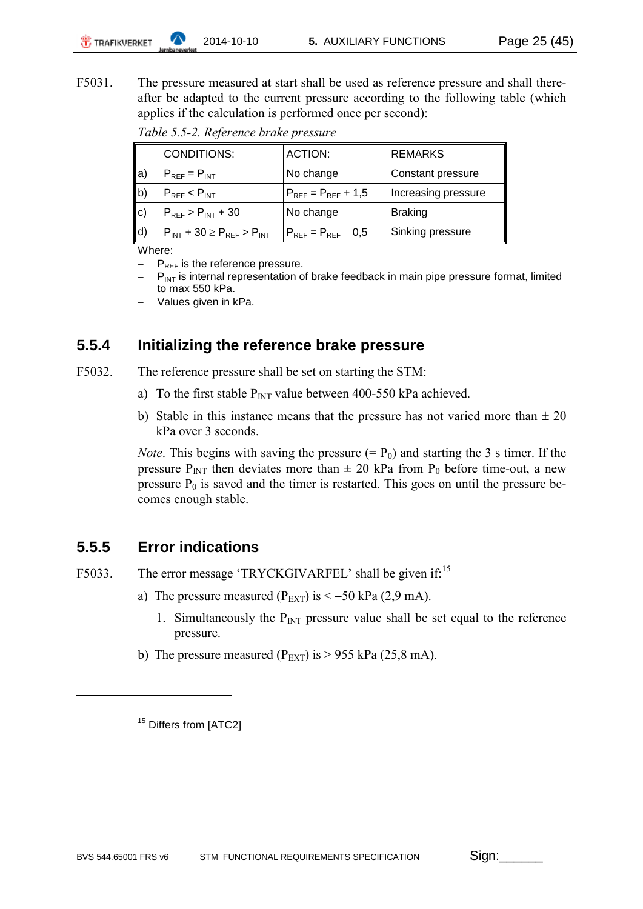F5031. The pressure measured at start shall be used as reference pressure and shall thereafter be adapted to the current pressure according to the following table (which applies if the calculation is performed once per second):

| <b>CONDITIONS:</b>                          | <b>ACTION:</b>            | <b>REMARKS</b>      |
|---------------------------------------------|---------------------------|---------------------|
| $P_{REF} = P_{INT}$                         | No change                 | Constant pressure   |
| $P_{REF}$ < $P_{INT}$                       | $P_{REF} = P_{REF} + 1.5$ | Increasing pressure |
| $P_{REF}$ > $P_{INT}$ + 30                  | No change                 | <b>Braking</b>      |
| $P_{INT}$ + 30 $\geq$ $P_{REF}$ > $P_{INT}$ | $P_{REF} = P_{REF} - 0.5$ | Sinking pressure    |
|                                             |                           |                     |

*Table 5.5-2. Reference brake pressure*

Where:

 $P_{REF}$  is the reference pressure.

- $P_{INT}$  is internal representation of brake feedback in main pipe pressure format, limited to max 550 kPa.
- Values given in kPa.

## <span id="page-24-0"></span>**5.5.4 Initializing the reference brake pressure**

F5032. The reference pressure shall be set on starting the STM:

- a) To the first stable  $P_{INT}$  value between 400-550 kPa achieved.
- b) Stable in this instance means that the pressure has not varied more than  $\pm 20$ kPa over 3 seconds.

*Note*. This begins with saving the pressure  $(= P_0)$  and starting the 3 s timer. If the pressure P<sub>INT</sub> then deviates more than  $\pm 20$  kPa from P<sub>0</sub> before time-out, a new pressure  $P_0$  is saved and the timer is restarted. This goes on until the pressure becomes enough stable.

## <span id="page-24-1"></span>**5.5.5 Error indications**

F5033. The error message 'TRYCKGIVARFEL' shall be given if:<sup>15</sup>

- a) The pressure measured ( $P_{\text{EXT}}$ ) is  $\leq -50$  kPa (2,9 mA).
	- 1. Simultaneously the  $P_{INT}$  pressure value shall be set equal to the reference pressure.
- b) The pressure measured ( $P_{\text{EXT}}$ ) is > 955 kPa (25,8 mA).

 $\overline{a}$ 

<sup>&</sup>lt;sup>15</sup> Differs from [ATC2]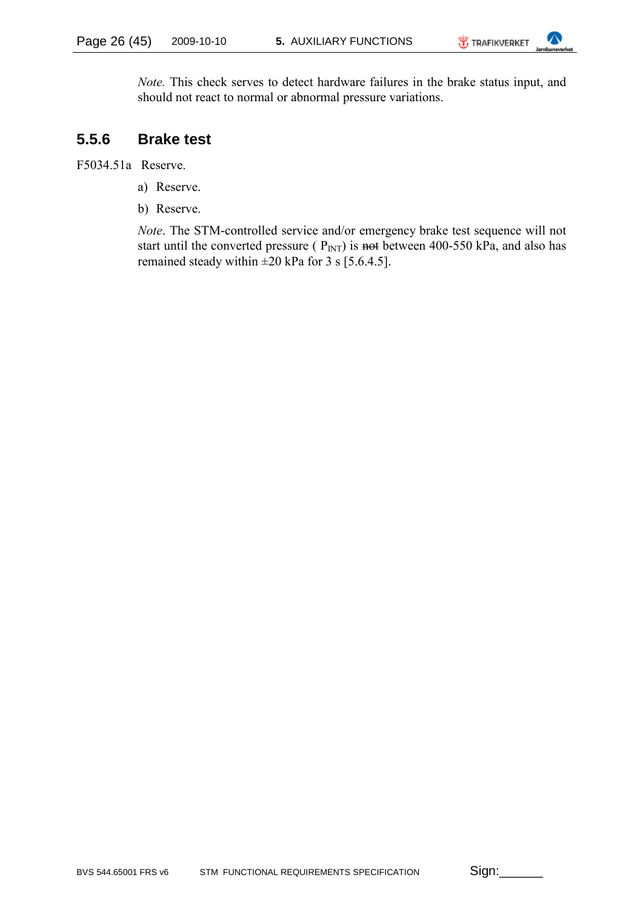*Note.* This check serves to detect hardware failures in the brake status input, and should not react to normal or abnormal pressure variations.

## <span id="page-25-0"></span>**5.5.6 Brake test**

F5034.51a Reserve.

- a) Reserve.
- b) Reserve.

*Note*. The STM-controlled service and/or emergency brake test sequence will not start until the converted pressure ( $P_{INT}$ ) is not between 400-550 kPa, and also has remained steady within  $\pm 20$  kPa for 3 s [5.6.4.5].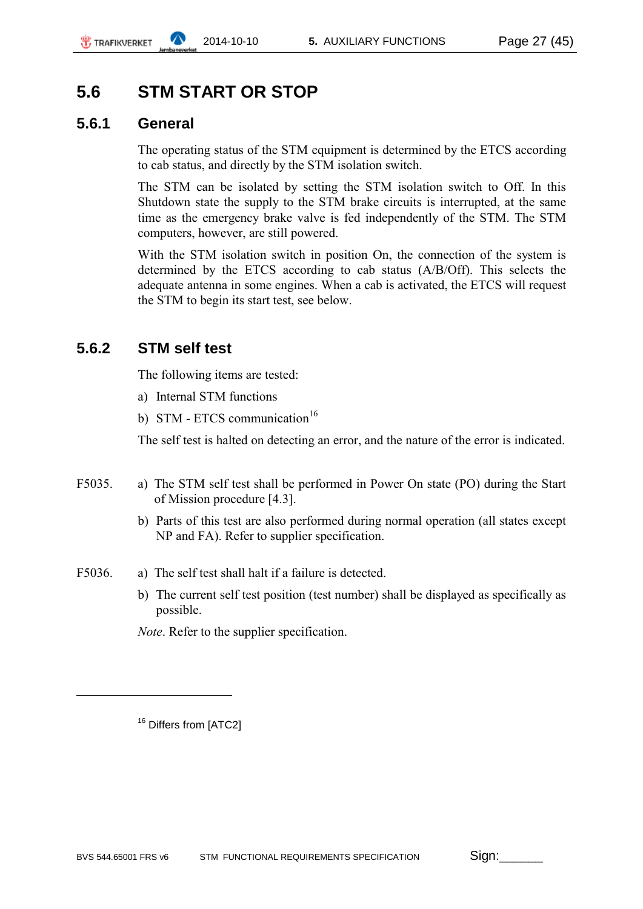## <span id="page-26-0"></span>**5.6 STM START OR STOP**

## <span id="page-26-1"></span>**5.6.1 General**

The operating status of the STM equipment is determined by the ETCS according to cab status, and directly by the STM isolation switch.

The STM can be isolated by setting the STM isolation switch to Off. In this Shutdown state the supply to the STM brake circuits is interrupted, at the same time as the emergency brake valve is fed independently of the STM. The STM computers, however, are still powered.

With the STM isolation switch in position On, the connection of the system is determined by the ETCS according to cab status (A/B/Off). This selects the adequate antenna in some engines. When a cab is activated, the ETCS will request the STM to begin its start test, see below.

## <span id="page-26-2"></span>**5.6.2 STM self test**

The following items are tested:

- a) Internal STM functions
- b) STM ETCS communication<sup>16</sup>

The self test is halted on detecting an error, and the nature of the error is indicated.

- F5035. a) The STM self test shall be performed in Power On state (PO) during the Start of Mission procedure [4.3].
	- b) Parts of this test are also performed during normal operation (all states except NP and FA). Refer to supplier specification.
- F5036. a) The self test shall halt if a failure is detected.
	- b) The current self test position (test number) shall be displayed as specifically as possible.

*Note*. Refer to the supplier specification.

<sup>16</sup> Differs from [ATC2]

 $\overline{a}$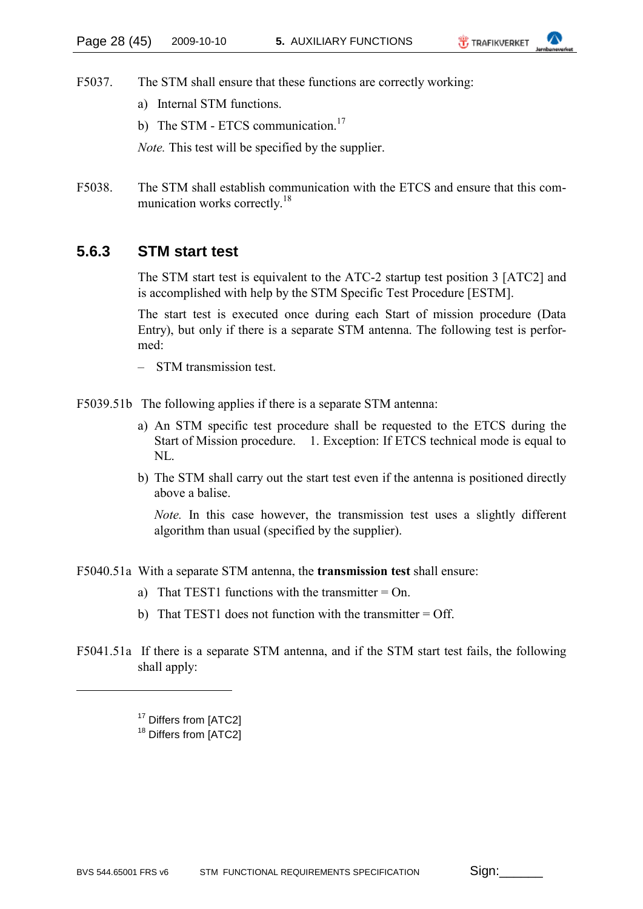F5037. The STM shall ensure that these functions are correctly working:

a) Internal STM functions.

b) The STM - ETCS communication.<sup>17</sup>

*Note.* This test will be specified by the supplier.

F5038. The STM shall establish communication with the ETCS and ensure that this communication works correctly.<sup>18</sup>

## <span id="page-27-0"></span>**5.6.3 STM start test**

The STM start test is equivalent to the ATC-2 startup test position 3 [ATC2] and is accomplished with help by the STM Specific Test Procedure [ESTM].

The start test is executed once during each Start of mission procedure (Data Entry), but only if there is a separate STM antenna. The following test is performed:

– STM transmission test.

F5039.51b The following applies if there is a separate STM antenna:

- a) An STM specific test procedure shall be requested to the ETCS during the Start of Mission procedure. 1. Exception: If ETCS technical mode is equal to NL.
- b) The STM shall carry out the start test even if the antenna is positioned directly above a balise.

*Note.* In this case however, the transmission test uses a slightly different algorithm than usual (specified by the supplier).

- F5040.51a With a separate STM antenna, the **transmission test** shall ensure:
	- a) That TEST1 functions with the transmitter  $=$  On.
	- b) That TEST1 does not function with the transmitter  $=$  Off.
- F5041.51a If there is a separate STM antenna, and if the STM start test fails, the following shall apply:

<sup>17</sup> Differs from [ATC2]

 $\overline{a}$ 

<sup>18</sup> Differs from [ATC2]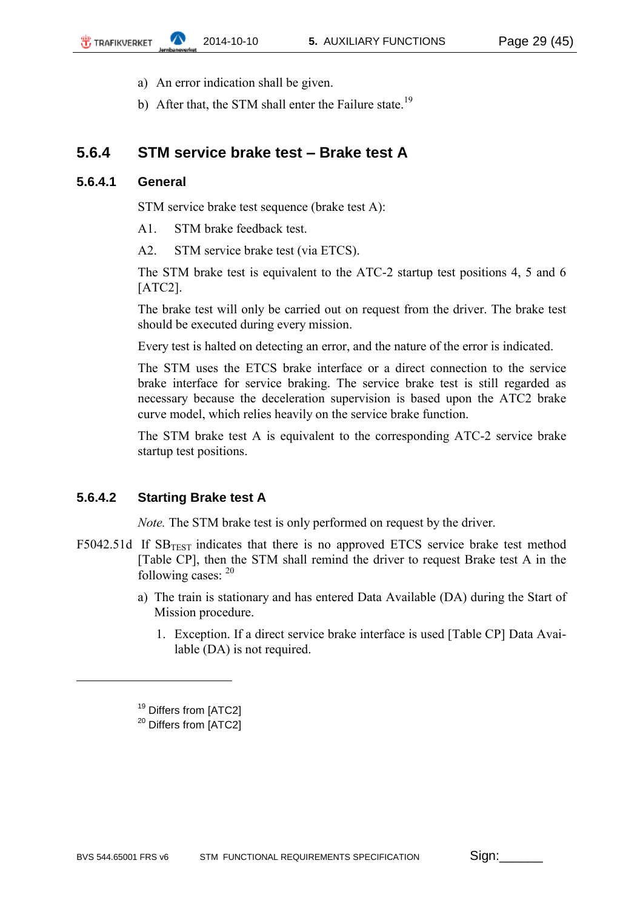- a) An error indication shall be given.
- b) After that, the STM shall enter the Failure state.<sup>19</sup>

## <span id="page-28-0"></span>**5.6.4 STM service brake test – Brake test A**

#### **5.6.4.1 General**

STM service brake test sequence (brake test A):

- A1. STM brake feedback test.
- A2. STM service brake test (via ETCS).

The STM brake test is equivalent to the ATC-2 startup test positions 4, 5 and 6 [ATC2].

The brake test will only be carried out on request from the driver. The brake test should be executed during every mission.

Every test is halted on detecting an error, and the nature of the error is indicated.

The STM uses the ETCS brake interface or a direct connection to the service brake interface for service braking. The service brake test is still regarded as necessary because the deceleration supervision is based upon the ATC2 brake curve model, which relies heavily on the service brake function.

The STM brake test A is equivalent to the corresponding ATC-2 service brake startup test positions.

## **5.6.4.2 Starting Brake test A**

*Note.* The STM brake test is only performed on request by the driver.

- $F5042.51d$  If  $SB<sub>TEST</sub>$  indicates that there is no approved ETCS service brake test method [Table CP], then the STM shall remind the driver to request Brake test A in the following cases: <sup>20</sup>
	- a) The train is stationary and has entered Data Available (DA) during the Start of Mission procedure.
		- 1. Exception. If a direct service brake interface is used [Table CP] Data Available (DA) is not required.

 $\overline{a}$ 

<sup>&</sup>lt;sup>19</sup> Differs from [ATC2]

<sup>&</sup>lt;sup>20</sup> Differs from [ATC2]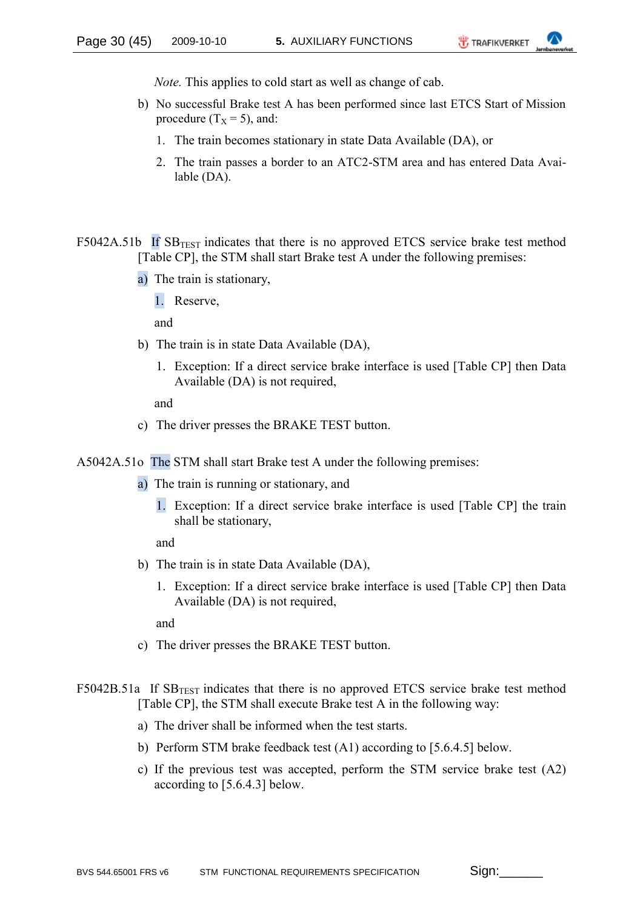∽

*Note.* This applies to cold start as well as change of cab.

- b) No successful Brake test A has been performed since last ETCS Start of Mission procedure  $(T_X = 5)$ , and:
	- 1. The train becomes stationary in state Data Available (DA), or
	- 2. The train passes a border to an ATC2-STM area and has entered Data Available (DA).

F5042A.51b If SB<sub>TEST</sub> indicates that there is no approved ETCS service brake test method [Table CP], the STM shall start Brake test A under the following premises:

- a) The train is stationary,
	- 1. Reserve,

and

- b) The train is in state Data Available (DA),
	- 1. Exception: If a direct service brake interface is used [Table CP] then Data Available (DA) is not required,

and

c) The driver presses the BRAKE TEST button.

A5042A.51o The STM shall start Brake test A under the following premises:

- a) The train is running or stationary, and
	- 1. Exception: If a direct service brake interface is used [Table CP] the train shall be stationary,

and

- b) The train is in state Data Available (DA),
	- 1. Exception: If a direct service brake interface is used [Table CP] then Data Available (DA) is not required,

and

- c) The driver presses the BRAKE TEST button.
- $F5042B.51a$  If  $SB$ <sub>TEST</sub> indicates that there is no approved ETCS service brake test method [Table CP], the STM shall execute Brake test A in the following way:
	- a) The driver shall be informed when the test starts.
	- b) Perform STM brake feedback test (A1) according to [5.6.4.5] below.
	- c) If the previous test was accepted, perform the STM service brake test (A2) according to [5.6.4.3] below.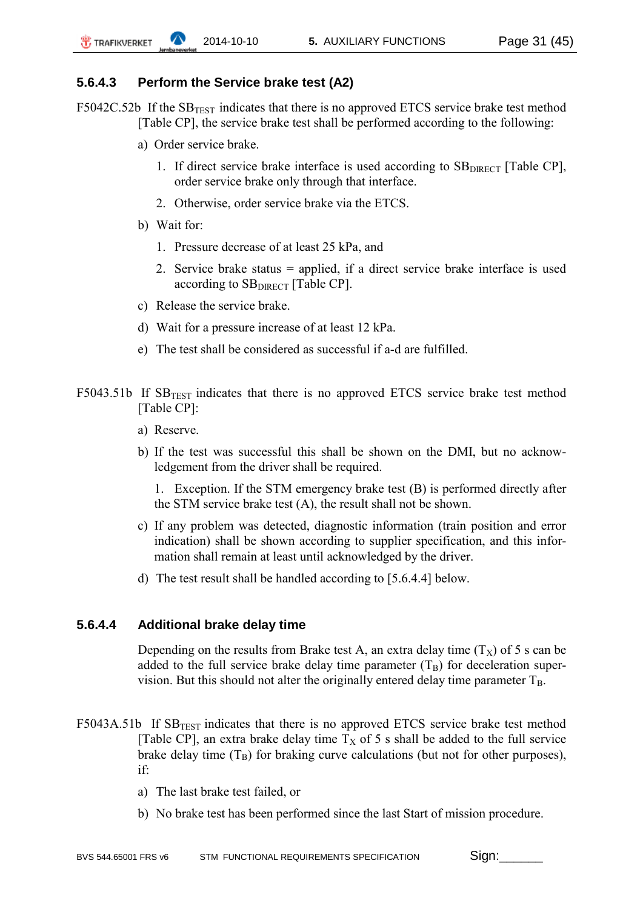## **5.6.4.3 Perform the Service brake test (A2)**

F5042C.52b If the  $SB_{TEST}$  indicates that there is no approved ETCS service brake test method [Table CP], the service brake test shall be performed according to the following:

- a) Order service brake.
	- 1. If direct service brake interface is used according to  $SB_{DRECT}$  [Table CP], order service brake only through that interface.
	- 2. Otherwise, order service brake via the ETCS.
- b) Wait for:
	- 1. Pressure decrease of at least 25 kPa, and
	- 2. Service brake status = applied, if a direct service brake interface is used according to  $SB<sub>DIRECT</sub>$  [Table CP].
- c) Release the service brake.
- d) Wait for a pressure increase of at least 12 kPa.
- e) The test shall be considered as successful if a-d are fulfilled.
- F5043.51b If  $SB$ <sub>TEST</sub> indicates that there is no approved ETCS service brake test method [Table CP]:
	- a) Reserve.
	- b) If the test was successful this shall be shown on the DMI, but no acknowledgement from the driver shall be required.

1. Exception. If the STM emergency brake test (B) is performed directly after the STM service brake test (A), the result shall not be shown.

- c) If any problem was detected, diagnostic information (train position and error indication) shall be shown according to supplier specification, and this information shall remain at least until acknowledged by the driver.
- d) The test result shall be handled according to [5.6.4.4] below.

#### **5.6.4.4 Additional brake delay time**

Depending on the results from Brake test A, an extra delay time  $(T_X)$  of 5 s can be added to the full service brake delay time parameter  $(T_B)$  for deceleration supervision. But this should not alter the originally entered delay time parameter  $T_B$ .

- F5043A.51b If  $SB$ <sub>TEST</sub> indicates that there is no approved ETCS service brake test method [Table CP], an extra brake delay time  $T_X$  of 5 s shall be added to the full service brake delay time  $(T_B)$  for braking curve calculations (but not for other purposes), if:
	- a) The last brake test failed, or
	- b) No brake test has been performed since the last Start of mission procedure.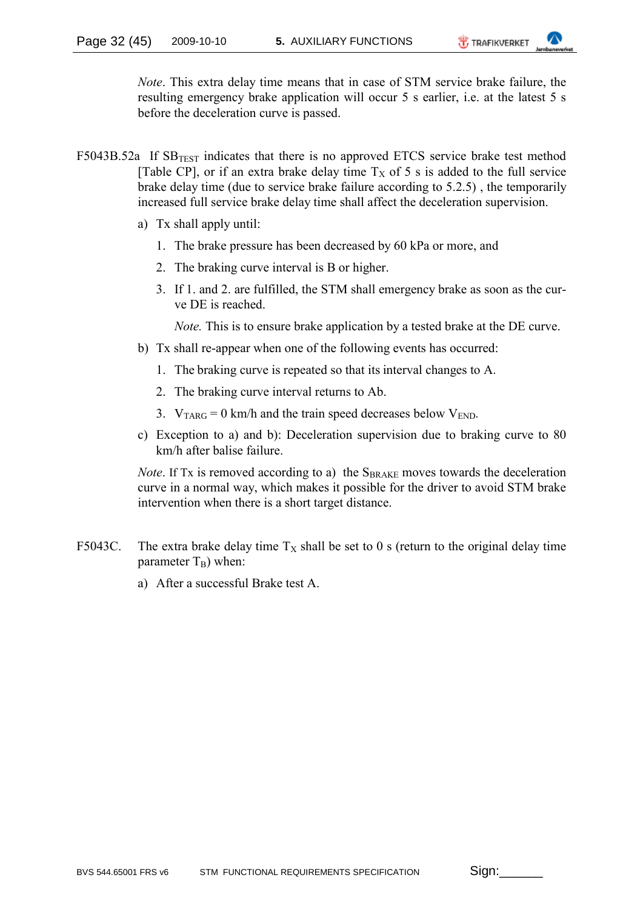**TRAFIKVERKET** 

*Note*. This extra delay time means that in case of STM service brake failure, the resulting emergency brake application will occur 5 s earlier, i.e. at the latest 5 s before the deceleration curve is passed.

- F5043B.52a If  $SB_{TEST}$  indicates that there is no approved ETCS service brake test method [Table CP], or if an extra brake delay time  $T_x$  of 5 s is added to the full service brake delay time (due to service brake failure according to 5.2.5) , the temporarily increased full service brake delay time shall affect the deceleration supervision.
	- a) Tx shall apply until:
		- 1. The brake pressure has been decreased by 60 kPa or more, and
		- 2. The braking curve interval is B or higher.
		- 3. If 1. and 2. are fulfilled, the STM shall emergency brake as soon as the curve DE is reached.

*Note.* This is to ensure brake application by a tested brake at the DE curve.

- b) Tx shall re-appear when one of the following events has occurred:
	- 1. The braking curve is repeated so that its interval changes to A.
	- 2. The braking curve interval returns to Ab.
	- 3.  $V_{TARG} = 0$  km/h and the train speed decreases below  $V_{END}$ .
- c) Exception to a) and b): Deceleration supervision due to braking curve to 80 km/h after balise failure.

*Note*. If Tx is removed according to a) the S<sub>BRAKE</sub> moves towards the deceleration curve in a normal way, which makes it possible for the driver to avoid STM brake intervention when there is a short target distance.

- F5043C. The extra brake delay time  $T_X$  shall be set to 0 s (return to the original delay time parameter  $T_B$ ) when:
	- a) After a successful Brake test A.

BVS 544.65001 FRS v6 STM FUNCTIONAL REQUIREMENTS SPECIFICATION SIGN: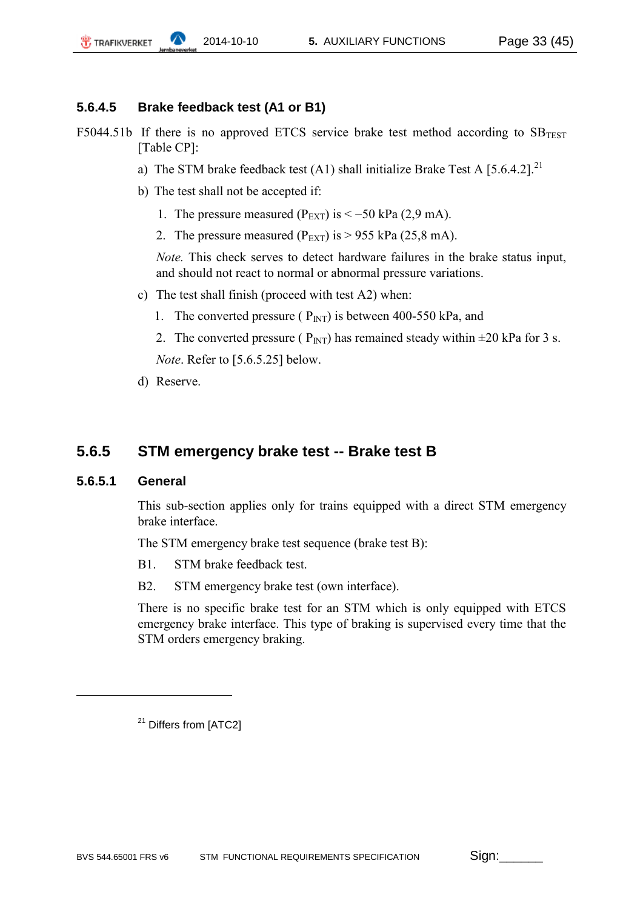### **5.6.4.5 Brake feedback test (A1 or B1)**

- F5044.51b If there is no approved ETCS service brake test method according to  $SB_{TEST}$ [Table CP]:
	- a) The STM brake feedback test  $(A1)$  shall initialize Brake Test A  $[5.6.4.2]$ <sup>21</sup>
	- b) The test shall not be accepted if:
		- 1. The pressure measured ( $P_{\text{EXT}}$ ) is  $\leq -50$  kPa (2,9 mA).
		- 2. The pressure measured ( $P_{EXT}$ ) is > 955 kPa (25,8 mA).

*Note.* This check serves to detect hardware failures in the brake status input, and should not react to normal or abnormal pressure variations.

- c) The test shall finish (proceed with test A2) when:
	- 1. The converted pressure ( $P_{\text{INT}}$ ) is between 400-550 kPa, and
	- 2. The converted pressure ( $P_{\text{INT}}$ ) has remained steady within  $\pm 20$  kPa for 3 s.

*Note*. Refer to [5.6.5.25] below.

d) Reserve.

## <span id="page-32-0"></span>**5.6.5 STM emergency brake test -- Brake test B**

#### **5.6.5.1 General**

 $\overline{a}$ 

This sub-section applies only for trains equipped with a direct STM emergency brake interface.

The STM emergency brake test sequence (brake test B):

- B1. STM brake feedback test.
- B2. STM emergency brake test (own interface).

There is no specific brake test for an STM which is only equipped with ETCS emergency brake interface. This type of braking is supervised every time that the STM orders emergency braking.

<sup>&</sup>lt;sup>21</sup> Differs from [ATC2]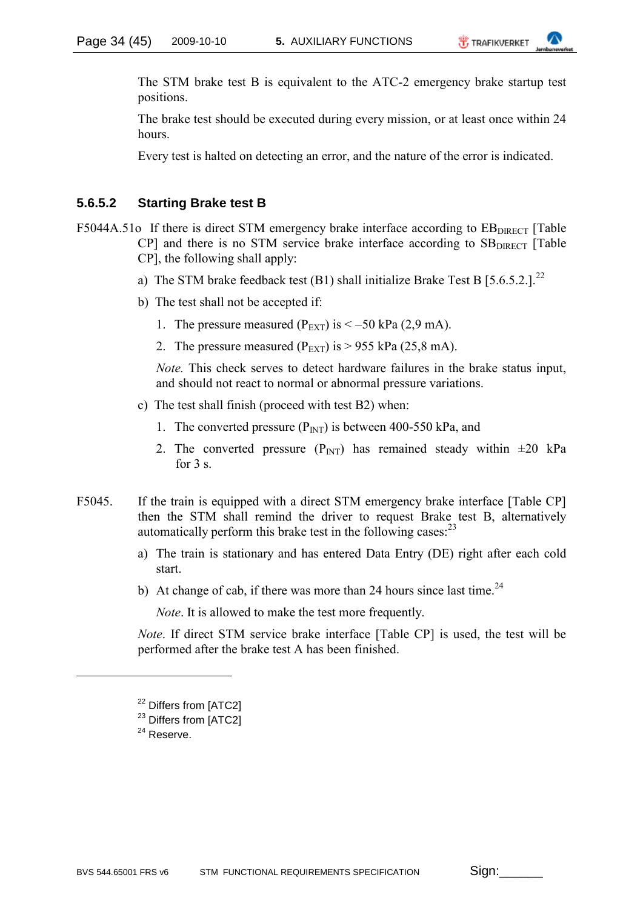∽

The STM brake test B is equivalent to the ATC-2 emergency brake startup test positions.

The brake test should be executed during every mission, or at least once within 24 hours.

Every test is halted on detecting an error, and the nature of the error is indicated.

#### **5.6.5.2 Starting Brake test B**

- F5044A.51o If there is direct STM emergency brake interface according to  $EB_{DIRECT}$  [Table  $CP$ ] and there is no STM service brake interface according to  $SB<sub>DIRECT</sub>$  [Table CP], the following shall apply:
	- a) The STM brake feedback test (B1) shall initialize Brake Test B  $[5.6.5.2.]^{22}$
	- b) The test shall not be accepted if:
		- 1. The pressure measured  $(P_{EXT})$  is  $\leq -50$  kPa (2,9 mA).
		- 2. The pressure measured ( $P_{EXT}$ ) is > 955 kPa (25,8 mA).

*Note.* This check serves to detect hardware failures in the brake status input, and should not react to normal or abnormal pressure variations.

- c) The test shall finish (proceed with test B2) when:
	- 1. The converted pressure  $(P_{\text{INT}})$  is between 400-550 kPa, and
	- 2. The converted pressure ( $P_{\text{INT}}$ ) has remained steady within  $\pm 20$  kPa for 3 s.
- F5045. If the train is equipped with a direct STM emergency brake interface [Table CP] then the STM shall remind the driver to request Brake test B, alternatively automatically perform this brake test in the following cases: $^{23}$ 
	- a) The train is stationary and has entered Data Entry (DE) right after each cold start.
	- b) At change of cab, if there was more than 24 hours since last time.<sup>24</sup>

*Note*. It is allowed to make the test more frequently.

*Note*. If direct STM service brake interface [Table CP] is used, the test will be performed after the brake test A has been finished.

 $\overline{a}$ 

<sup>&</sup>lt;sup>22</sup> Differs from [ATC2]

<sup>&</sup>lt;sup>23</sup> Differs from [ATC2]

<sup>24</sup> Reserve.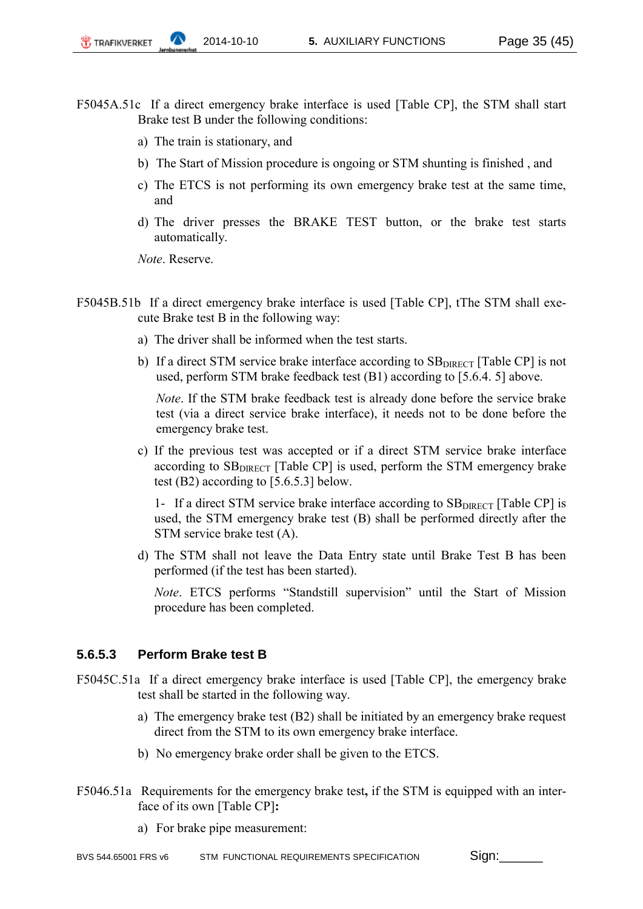- F5045A.51c If a direct emergency brake interface is used [Table CP], the STM shall start Brake test B under the following conditions:
	- a) The train is stationary, and
	- b) The Start of Mission procedure is ongoing or STM shunting is finished , and
	- c) The ETCS is not performing its own emergency brake test at the same time, and
	- d) The driver presses the BRAKE TEST button, or the brake test starts automatically.

*Note*. Reserve.

- F5045B.51b If a direct emergency brake interface is used [Table CP], tThe STM shall execute Brake test B in the following way:
	- a) The driver shall be informed when the test starts.
	- b) If a direct STM service brake interface according to  $SB<sub>DIRECT</sub>$  [Table CP] is not used, perform STM brake feedback test (B1) according to [5.6.4. 5] above.

*Note*. If the STM brake feedback test is already done before the service brake test (via a direct service brake interface), it needs not to be done before the emergency brake test.

c) If the previous test was accepted or if a direct STM service brake interface according to  $SB<sub>DIRECT</sub>$  [Table CP] is used, perform the STM emergency brake test (B2) according to [5.6.5.3] below.

1- If a direct STM service brake interface according to  $SB_{DIRECT}$  [Table CP] is used, the STM emergency brake test (B) shall be performed directly after the STM service brake test (A).

d) The STM shall not leave the Data Entry state until Brake Test B has been performed (if the test has been started).

*Note*. ETCS performs "Standstill supervision" until the Start of Mission procedure has been completed.

## **5.6.5.3 Perform Brake test B**

- F5045C.51a If a direct emergency brake interface is used [Table CP], the emergency brake test shall be started in the following way.
	- a) The emergency brake test (B2) shall be initiated by an emergency brake request direct from the STM to its own emergency brake interface.
	- b) No emergency brake order shall be given to the ETCS.
- F5046.51a Requirements for the emergency brake test**,** if the STM is equipped with an interface of its own [Table CP]**:**
	- a) For brake pipe measurement: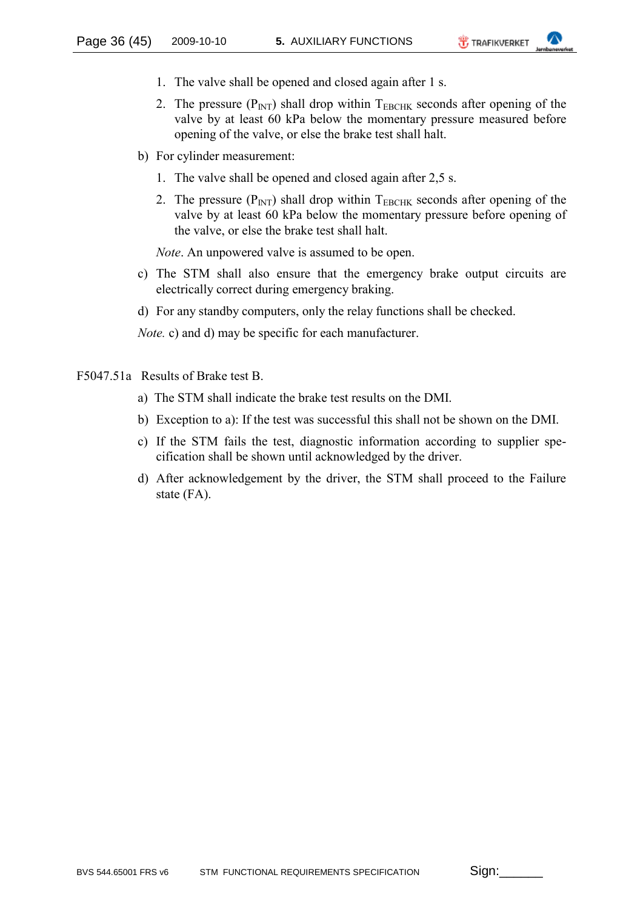$\sqrt{2}$ 

- 1. The valve shall be opened and closed again after 1 s.
- 2. The pressure ( $P_{INT}$ ) shall drop within  $T_{EBCHK}$  seconds after opening of the valve by at least 60 kPa below the momentary pressure measured before opening of the valve, or else the brake test shall halt.
- b) For cylinder measurement:
	- 1. The valve shall be opened and closed again after 2,5 s.
	- 2. The pressure ( $P_{INT}$ ) shall drop within  $T_{EBCHK}$  seconds after opening of the valve by at least 60 kPa below the momentary pressure before opening of the valve, or else the brake test shall halt.

*Note*. An unpowered valve is assumed to be open.

- c) The STM shall also ensure that the emergency brake output circuits are electrically correct during emergency braking.
- d) For any standby computers, only the relay functions shall be checked.

*Note.* c) and d) may be specific for each manufacturer.

- F5047.51a Results of Brake test B.
	- a) The STM shall indicate the brake test results on the DMI.
	- b) Exception to a): If the test was successful this shall not be shown on the DMI.
	- c) If the STM fails the test, diagnostic information according to supplier specification shall be shown until acknowledged by the driver.
	- d) After acknowledgement by the driver, the STM shall proceed to the Failure state (FA).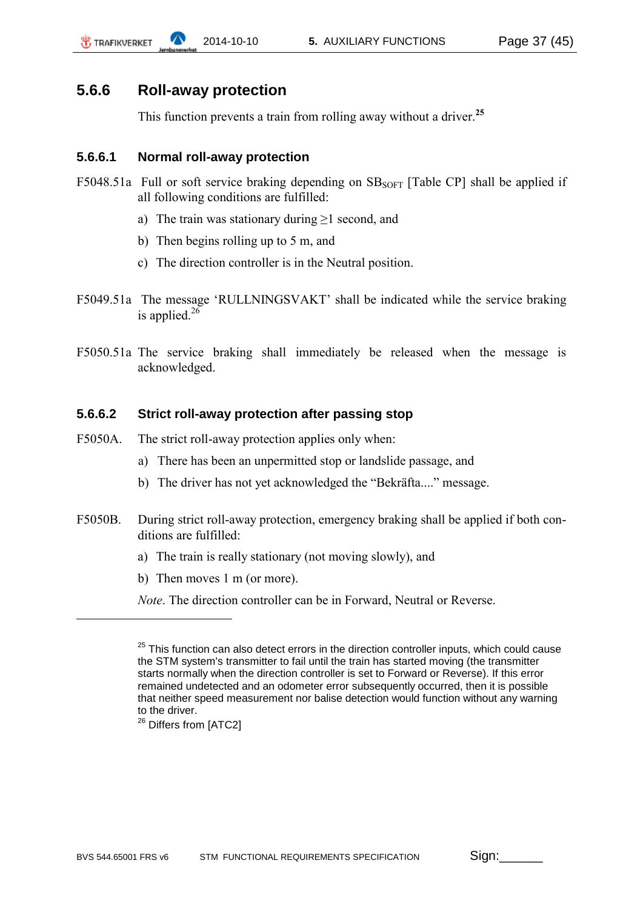## <span id="page-36-0"></span>**5.6.6 Roll-away protection**

This function prevents a train from rolling away without a driver.**<sup>25</sup>**

#### **5.6.6.1 Normal roll-away protection**

- F5048.51a Full or soft service braking depending on  $SB<sub>SOFF</sub>$  [Table CP] shall be applied if all following conditions are fulfilled:
	- a) The train was stationary during  $\geq 1$  second, and
	- b) Then begins rolling up to 5 m, and
	- c) The direction controller is in the Neutral position.
- F5049.51a The message 'RULLNINGSVAKT' shall be indicated while the service braking is applied. $26$
- F5050.51a The service braking shall immediately be released when the message is acknowledged.

### **5.6.6.2 Strict roll-away protection after passing stop**

- F5050A. The strict roll-away protection applies only when:
	- a) There has been an unpermitted stop or landslide passage, and
	- b) The driver has not yet acknowledged the "Bekräfta...." message.
- F5050B. During strict roll-away protection, emergency braking shall be applied if both conditions are fulfilled:
	- a) The train is really stationary (not moving slowly), and
	- b) Then moves 1 m (or more).

*Note*. The direction controller can be in Forward, Neutral or Reverse.

<sup>26</sup> Differs from [ATC2]

 $\overline{a}$ 

 $25$  This function can also detect errors in the direction controller inputs, which could cause the STM system's transmitter to fail until the train has started moving (the transmitter starts normally when the direction controller is set to Forward or Reverse). If this error remained undetected and an odometer error subsequently occurred, then it is possible that neither speed measurement nor balise detection would function without any warning to the driver.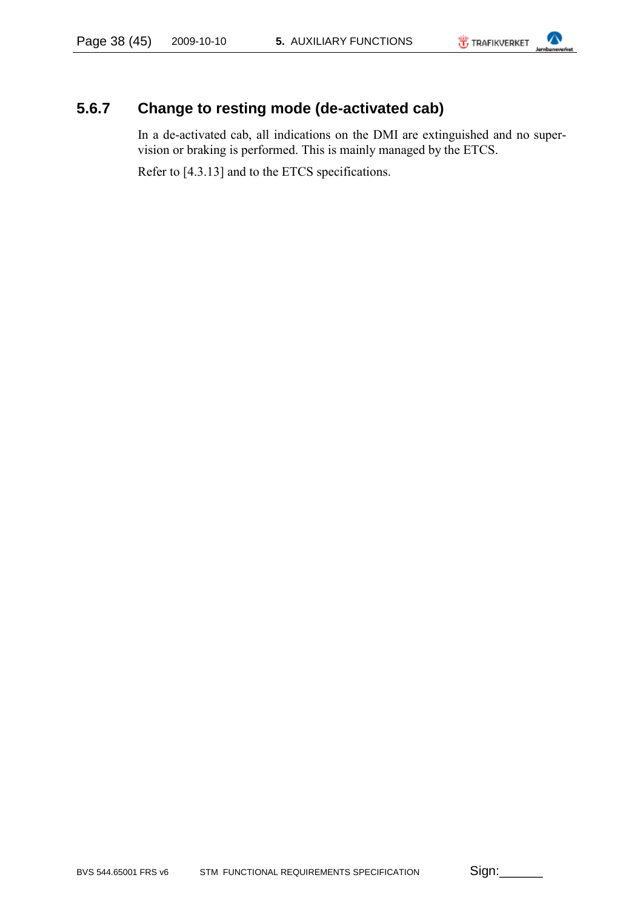∽

## <span id="page-37-0"></span>**5.6.7 Change to resting mode (de-activated cab)**

In a de-activated cab, all indications on the DMI are extinguished and no supervision or braking is performed. This is mainly managed by the ETCS.

Refer to [4.3.13] and to the ETCS specifications.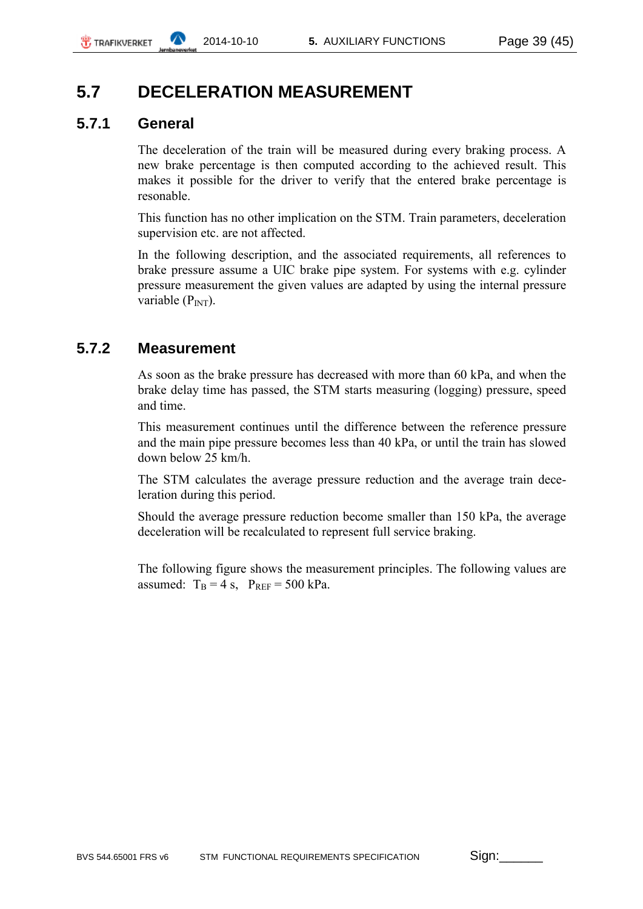## <span id="page-38-0"></span>**5.7 DECELERATION MEASUREMENT**

### <span id="page-38-1"></span>**5.7.1 General**

The deceleration of the train will be measured during every braking process. A new brake percentage is then computed according to the achieved result. This makes it possible for the driver to verify that the entered brake percentage is resonable.

This function has no other implication on the STM. Train parameters, deceleration supervision etc. are not affected.

In the following description, and the associated requirements, all references to brake pressure assume a UIC brake pipe system. For systems with e.g. cylinder pressure measurement the given values are adapted by using the internal pressure variable  $(P_{INT})$ .

## <span id="page-38-2"></span>**5.7.2 Measurement**

As soon as the brake pressure has decreased with more than 60 kPa, and when the brake delay time has passed, the STM starts measuring (logging) pressure, speed and time.

This measurement continues until the difference between the reference pressure and the main pipe pressure becomes less than 40 kPa, or until the train has slowed down below 25 km/h.

The STM calculates the average pressure reduction and the average train deceleration during this period.

Should the average pressure reduction become smaller than 150 kPa, the average deceleration will be recalculated to represent full service braking.

The following figure shows the measurement principles. The following values are assumed:  $T_B = 4$  s,  $P_{REF} = 500$  kPa.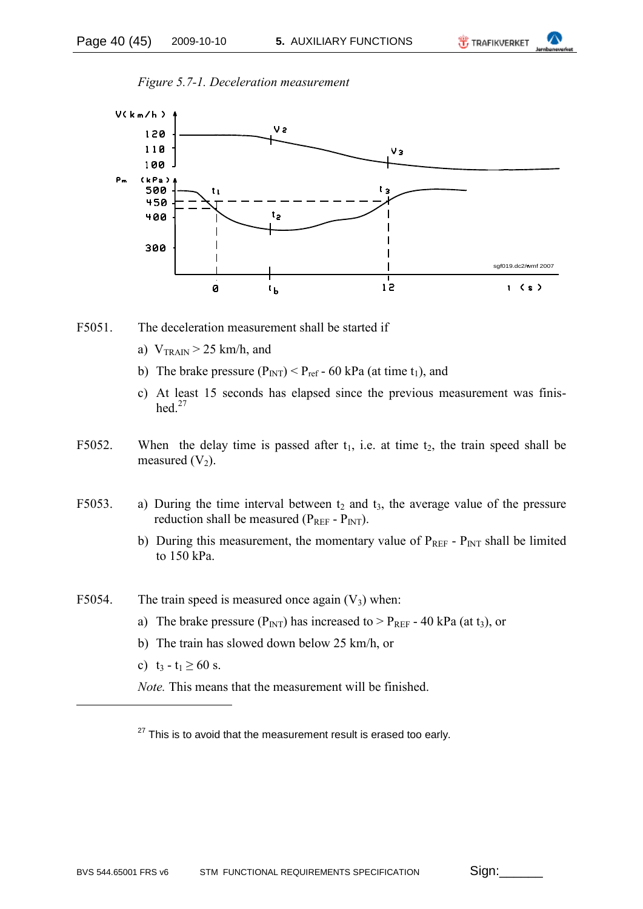*Figure 5.7-1. Deceleration measurement*



F5051. The deceleration measurement shall be started if

- a)  $V_{\text{TRAIN}}$  > 25 km/h, and
- b) The brake pressure  $(P_{INT}) < P_{ref}$  60 kPa (at time t<sub>1</sub>), and
- c) At least 15 seconds has elapsed since the previous measurement was finished. $27$
- F5052. When the delay time is passed after  $t_1$ , i.e. at time  $t_2$ , the train speed shall be measured  $(V_2)$ .
- F5053. a) During the time interval between  $t_2$  and  $t_3$ , the average value of the pressure reduction shall be measured ( $P_{REF}$  -  $P_{INT}$ ).
	- b) During this measurement, the momentary value of  $P_{REF}$   $P_{INT}$  shall be limited to 150 kPa.
- F5054. The train speed is measured once again  $(V_3)$  when:
	- a) The brake pressure ( $P_{INT}$ ) has increased to  $> P_{REF}$  40 kPa (at t<sub>3</sub>), or
	- b) The train has slowed down below 25 km/h, or
	- c)  $t_3 t_1 \ge 60$  s.

*Note.* This means that the measurement will be finished.

 $27$  This is to avoid that the measurement result is erased too early.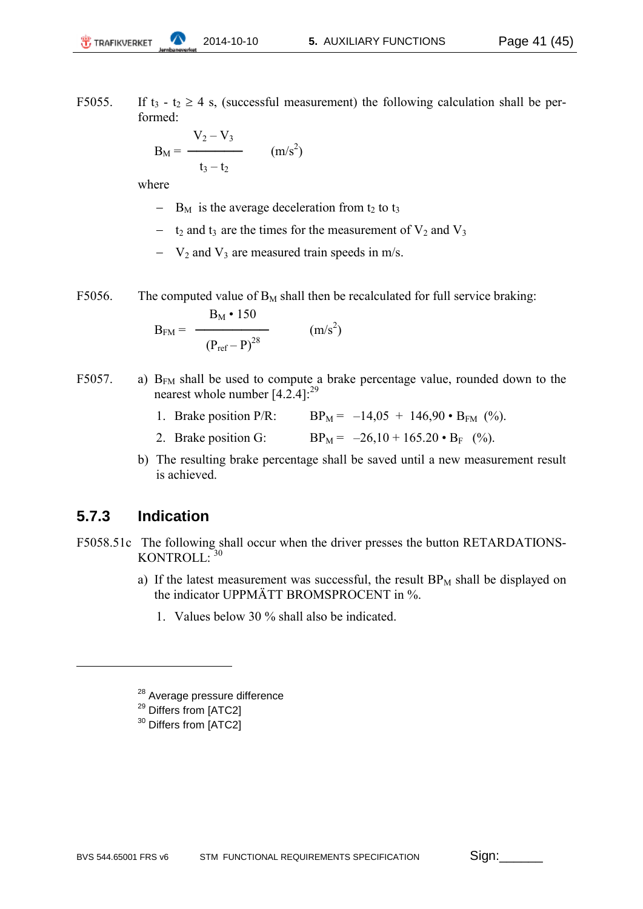#### **TE** TRAFIKVERKET

#### 2014-10-10 **5.** AUXILIARY FUNCTIONS Page 41 (45)

F5055. If  $t_3 - t_2 \ge 4$  s, (successful measurement) the following calculation shall be performed:

$$
B_M = \frac{V_2 - V_3}{t_3 - t_2} \qquad (m/s^2)
$$

where

- $-$  B<sub>M</sub> is the average deceleration from t<sub>2</sub> to t<sub>3</sub>
- $t_2$  and  $t_3$  are the times for the measurement of  $V_2$  and  $V_3$
- $-$  V<sub>2</sub> and V<sub>3</sub> are measured train speeds in m/s.

F5056. The computed value of  $B_M$  shall then be recalculated for full service braking:

$$
B_{FM} = \frac{B_M \cdot 150}{(P_{ref} - P)^{28}} \qquad (m/s^2)
$$

- F5057. a)  $B_{FM}$  shall be used to compute a brake percentage value, rounded down to the nearest whole number  $[4.2.4]$ :<sup>29</sup>
	- 1. Brake position  $P/R$ :  $BP_M = -14,05 + 146,90 \cdot B_{FM}$  (%).
	- 2. Brake position G:  $BP_M = -26,10 + 165.20 \cdot B_F$  (%).
	- b) The resulting brake percentage shall be saved until a new measurement result is achieved.

## <span id="page-40-0"></span>**5.7.3 Indication**

 $\overline{a}$ 

- F5058.51c The following shall occur when the driver presses the button RETARDATIONS-KONTROLL: 30
	- a) If the latest measurement was successful, the result  $BP<sub>M</sub>$  shall be displayed on the indicator UPPMÄTT BROMSPROCENT in %.
		- 1. Values below 30 % shall also be indicated.

<sup>&</sup>lt;sup>28</sup> Average pressure difference

<sup>&</sup>lt;sup>29</sup> Differs from [ATC2]

<sup>&</sup>lt;sup>30</sup> Differs from [ATC2]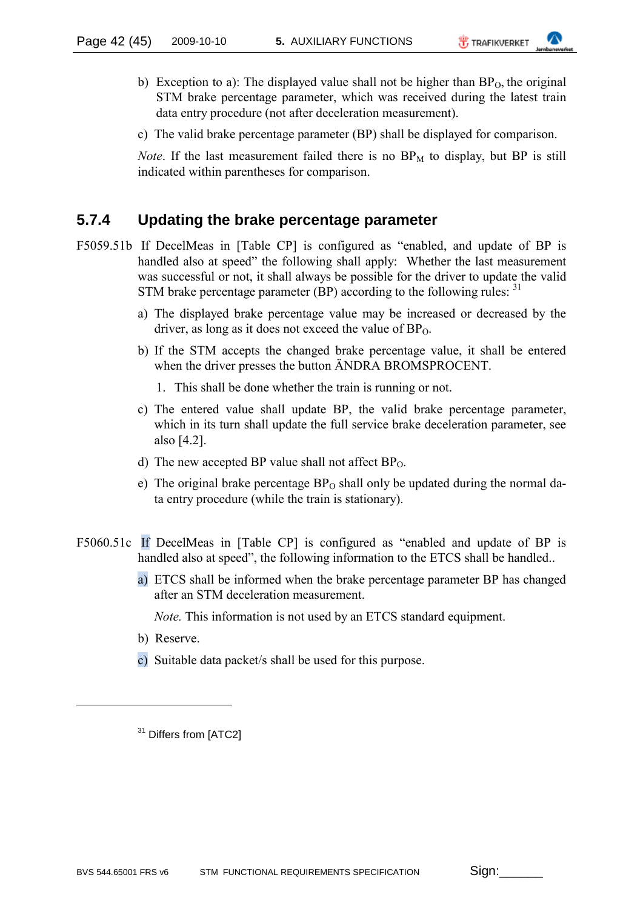∽

- b) Exception to a): The displayed value shall not be higher than  $BP<sub>O</sub>$ , the original STM brake percentage parameter, which was received during the latest train data entry procedure (not after deceleration measurement).
- c) The valid brake percentage parameter (BP) shall be displayed for comparison.

*Note*. If the last measurement failed there is no  $BP<sub>M</sub>$  to display, but  $BP$  is still indicated within parentheses for comparison.

#### <span id="page-41-0"></span>**5.7.4 Updating the brake percentage parameter**

- F5059.51b If DecelMeas in [Table CP] is configured as "enabled, and update of BP is handled also at speed" the following shall apply: Whether the last measurement was successful or not, it shall always be possible for the driver to update the valid STM brake percentage parameter (BP) according to the following rules:  $31$ 
	- a) The displayed brake percentage value may be increased or decreased by the driver, as long as it does not exceed the value of  $BP_0$ .
	- b) If the STM accepts the changed brake percentage value, it shall be entered when the driver presses the button ÄNDRA BROMSPROCENT.
		- 1. This shall be done whether the train is running or not.
	- c) The entered value shall update BP, the valid brake percentage parameter, which in its turn shall update the full service brake deceleration parameter, see also [4.2].
	- d) The new accepted BP value shall not affect  $BP<sub>O</sub>$ .
	- e) The original brake percentage  $BP<sub>O</sub>$  shall only be updated during the normal data entry procedure (while the train is stationary).
- F5060.51c If DecelMeas in [Table CP] is configured as "enabled and update of BP is handled also at speed", the following information to the ETCS shall be handled..
	- a) ETCS shall be informed when the brake percentage parameter BP has changed after an STM deceleration measurement.

*Note.* This information is not used by an ETCS standard equipment.

b) Reserve.

c) Suitable data packet/s shall be used for this purpose.

<sup>&</sup>lt;sup>31</sup> Differs from [ATC2]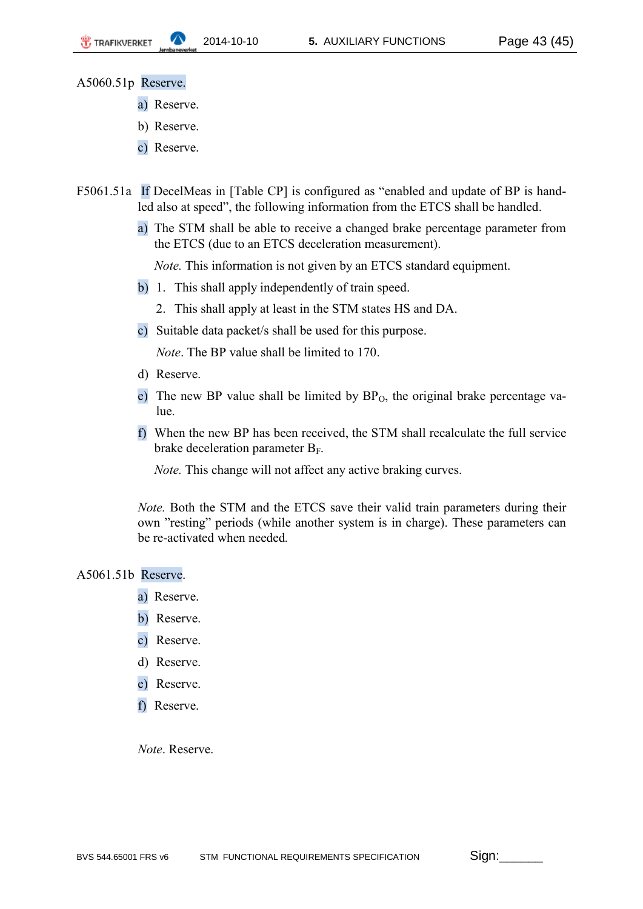#### A5060.51p Reserve.

- a) Reserve.
- b) Reserve.
- c) Reserve.
- F5061.51a If DecelMeas in [Table CP] is configured as "enabled and update of BP is handled also at speed", the following information from the ETCS shall be handled.
	- a) The STM shall be able to receive a changed brake percentage parameter from the ETCS (due to an ETCS deceleration measurement).

*Note.* This information is not given by an ETCS standard equipment.

- b) 1. This shall apply independently of train speed.
	- 2. This shall apply at least in the STM states HS and DA.
- c) Suitable data packet/s shall be used for this purpose.

*Note*. The BP value shall be limited to 170.

- d) Reserve.
- e) The new BP value shall be limited by  $BP<sub>O</sub>$ , the original brake percentage value.
- f) When the new BP has been received, the STM shall recalculate the full service brake deceleration parameter  $B_F$ .

*Note.* This change will not affect any active braking curves.

*Note.* Both the STM and the ETCS save their valid train parameters during their own "resting" periods (while another system is in charge). These parameters can be re-activated when needed*.*

#### A5061.51b Reserve.

- a) Reserve.
- b) Reserve.
- c) Reserve.
- d) Reserve.
- e) Reserve.
- f) Reserve.

*Note*. Reserve.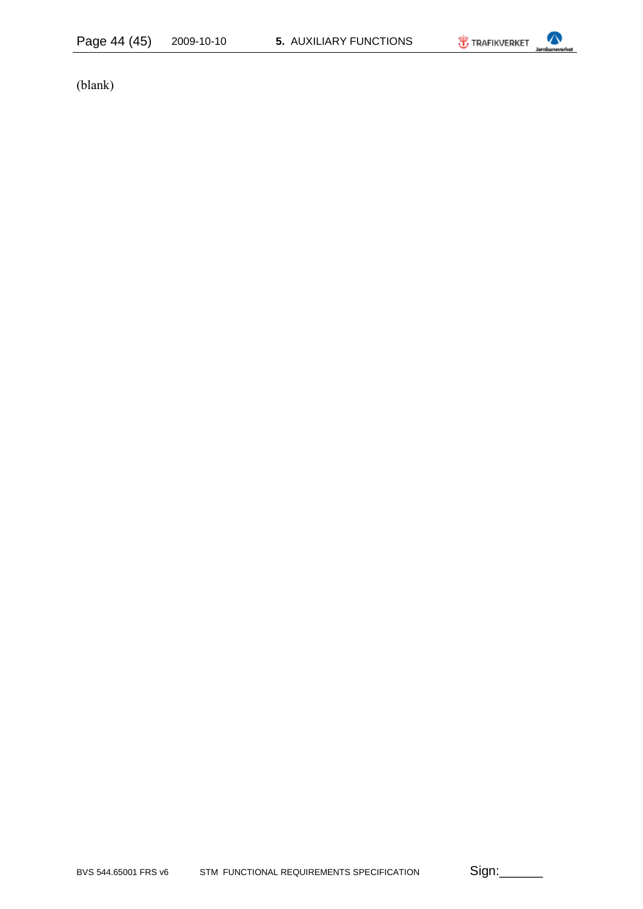$\boldsymbol{\sigma}$ 

(blank)